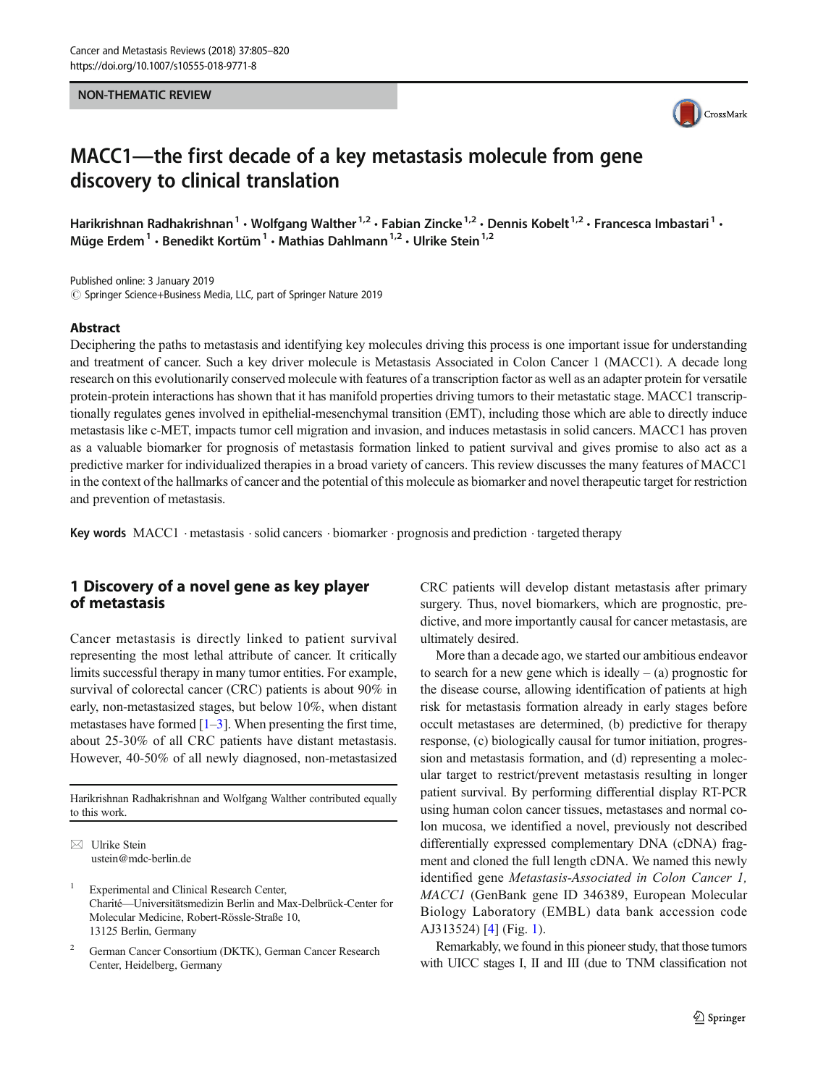#### NON-THEMATIC REVIEW



# MACC1—the first decade of a key metastasis molecule from gene discovery to clinical translation

Harikrishnan Radhakrishnan<sup>1</sup> • Wolfgang Walther<sup>1,2</sup> • Fabian Zincke<sup>1,2</sup> • Dennis Kobelt<sup>1,2</sup> • Francesca Imbastari<sup>1</sup> • Müge Erdem<sup>1</sup> · Benedikt Kortüm<sup>1</sup> · Mathias Dahlmann<sup>1,2</sup> · Ulrike Stein<sup>1,2</sup>

Published online: 3 January 2019  $\circled{c}$  Springer Science+Business Media, LLC, part of Springer Nature 2019

#### Abstract

Deciphering the paths to metastasis and identifying key molecules driving this process is one important issue for understanding and treatment of cancer. Such a key driver molecule is Metastasis Associated in Colon Cancer 1 (MACC1). A decade long research on this evolutionarily conserved molecule with features of a transcription factor as well as an adapter protein for versatile protein-protein interactions has shown that it has manifold properties driving tumors to their metastatic stage. MACC1 transcriptionally regulates genes involved in epithelial-mesenchymal transition (EMT), including those which are able to directly induce metastasis like c-MET, impacts tumor cell migration and invasion, and induces metastasis in solid cancers. MACC1 has proven as a valuable biomarker for prognosis of metastasis formation linked to patient survival and gives promise to also act as a predictive marker for individualized therapies in a broad variety of cancers. This review discusses the many features of MACC1 in the context of the hallmarks of cancer and the potential of this molecule as biomarker and novel therapeutic target for restriction and prevention of metastasis.

Key words MACC1 · metastasis · solid cancers · biomarker · prognosis and prediction · targeted therapy

# 1 Discovery of a novel gene as key player of metastasis

Cancer metastasis is directly linked to patient survival representing the most lethal attribute of cancer. It critically limits successful therapy in many tumor entities. For example, survival of colorectal cancer (CRC) patients is about 90% in early, non-metastasized stages, but below 10%, when distant metastases have formed  $[1-3]$  $[1-3]$  $[1-3]$ . When presenting the first time, about 25-30% of all CRC patients have distant metastasis. However, 40-50% of all newly diagnosed, non-metastasized

Harikrishnan Radhakrishnan and Wolfgang Walther contributed equally to this work.

 $\boxtimes$  Ulrike Stein [ustein@mdc-berlin.de](mailto:ustein@mdc-berlin.de)

Experimental and Clinical Research Center, Charité—Universitätsmedizin Berlin and Max-Delbrück-Center for Molecular Medicine, Robert-Rössle-Straße 10, 13125 Berlin, Germany

<sup>2</sup> German Cancer Consortium (DKTK), German Cancer Research Center, Heidelberg, Germany

CRC patients will develop distant metastasis after primary surgery. Thus, novel biomarkers, which are prognostic, predictive, and more importantly causal for cancer metastasis, are ultimately desired.

More than a decade ago, we started our ambitious endeavor to search for a new gene which is ideally  $-$  (a) prognostic for the disease course, allowing identification of patients at high risk for metastasis formation already in early stages before occult metastases are determined, (b) predictive for therapy response, (c) biologically causal for tumor initiation, progression and metastasis formation, and (d) representing a molecular target to restrict/prevent metastasis resulting in longer patient survival. By performing differential display RT-PCR using human colon cancer tissues, metastases and normal colon mucosa, we identified a novel, previously not described differentially expressed complementary DNA (cDNA) fragment and cloned the full length cDNA. We named this newly identified gene Metastasis-Associated in Colon Cancer 1, MACC1 (GenBank gene ID 346389, European Molecular Biology Laboratory (EMBL) data bank accession code AJ313524) [\[4](#page-10-0)] (Fig. [1\)](#page-1-0).

Remarkably, we found in this pioneer study, that those tumors with UICC stages I, II and III (due to TNM classification not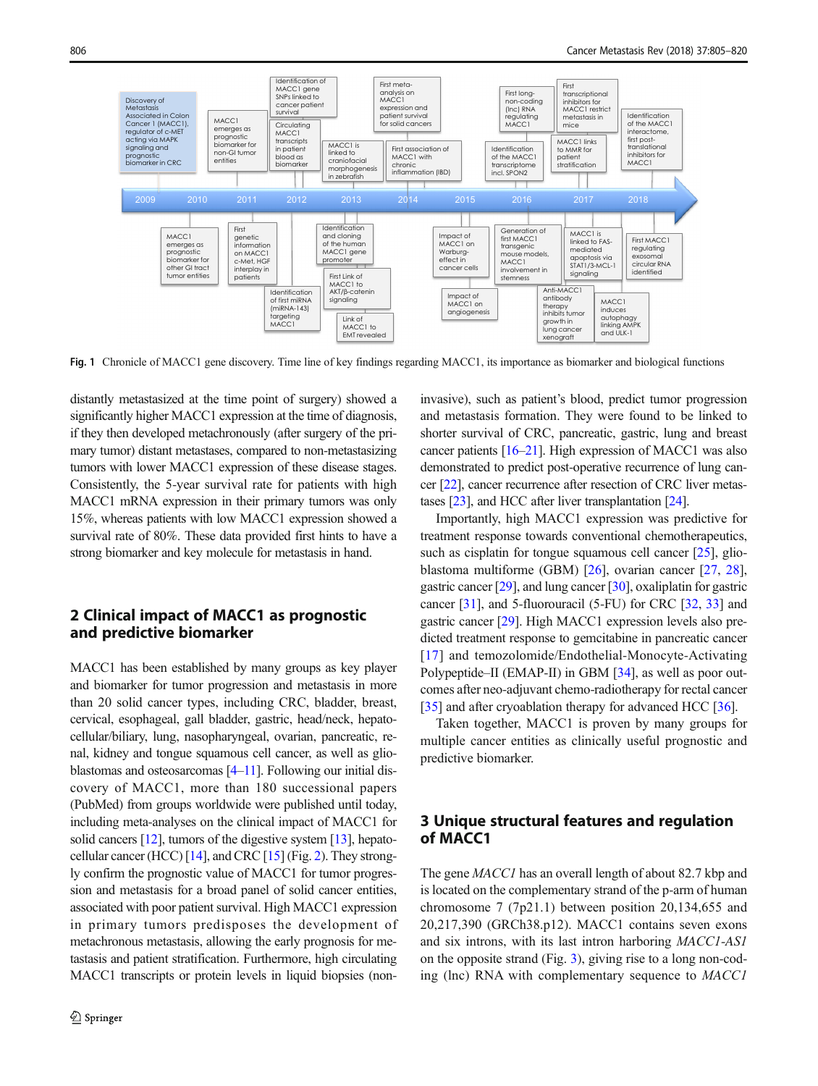<span id="page-1-0"></span>

Fig. 1 Chronicle of MACC1 gene discovery. Time line of key findings regarding MACC1, its importance as biomarker and biological functions

distantly metastasized at the time point of surgery) showed a significantly higher MACC1 expression at the time of diagnosis, if they then developed metachronously (after surgery of the primary tumor) distant metastases, compared to non-metastasizing tumors with lower MACC1 expression of these disease stages. Consistently, the 5-year survival rate for patients with high MACC1 mRNA expression in their primary tumors was only 15%, whereas patients with low MACC1 expression showed a survival rate of 80%. These data provided first hints to have a strong biomarker and key molecule for metastasis in hand.

# 2 Clinical impact of MACC1 as prognostic and predictive biomarker

MACC1 has been established by many groups as key player and biomarker for tumor progression and metastasis in more than 20 solid cancer types, including CRC, bladder, breast, cervical, esophageal, gall bladder, gastric, head/neck, hepatocellular/biliary, lung, nasopharyngeal, ovarian, pancreatic, renal, kidney and tongue squamous cell cancer, as well as glioblastomas and osteosarcomas [\[4](#page-10-0)–[11\]](#page-10-0). Following our initial discovery of MACC1, more than 180 successional papers (PubMed) from groups worldwide were published until today, including meta-analyses on the clinical impact of MACC1 for solid cancers [\[12\]](#page-10-0), tumors of the digestive system [\[13\]](#page-10-0), hepato-cellular cancer (HCC) [\[14\]](#page-10-0), and CRC [[15](#page-10-0)] (Fig. [2\)](#page-2-0). They strongly confirm the prognostic value of MACC1 for tumor progression and metastasis for a broad panel of solid cancer entities, associated with poor patient survival. High MACC1 expression in primary tumors predisposes the development of metachronous metastasis, allowing the early prognosis for metastasis and patient stratification. Furthermore, high circulating MACC1 transcripts or protein levels in liquid biopsies (noninvasive), such as patient's blood, predict tumor progression and metastasis formation. They were found to be linked to shorter survival of CRC, pancreatic, gastric, lung and breast cancer patients [\[16](#page-10-0)–[21](#page-10-0)]. High expression of MACC1 was also demonstrated to predict post-operative recurrence of lung cancer [\[22\]](#page-10-0), cancer recurrence after resection of CRC liver metastases [\[23\]](#page-10-0), and HCC after liver transplantation [\[24\]](#page-10-0).

Importantly, high MACC1 expression was predictive for treatment response towards conventional chemotherapeutics, such as cisplatin for tongue squamous cell cancer [[25](#page-11-0)], glioblastoma multiforme (GBM) [\[26](#page-11-0)], ovarian cancer [[27,](#page-11-0) [28\]](#page-11-0), gastric cancer [[29](#page-11-0)], and lung cancer [[30\]](#page-11-0), oxaliplatin for gastric cancer [\[31](#page-11-0)], and 5-fluorouracil (5-FU) for CRC [\[32,](#page-11-0) [33\]](#page-11-0) and gastric cancer [\[29\]](#page-11-0). High MACC1 expression levels also predicted treatment response to gemcitabine in pancreatic cancer [\[17\]](#page-10-0) and temozolomide/Endothelial-Monocyte-Activating Polypeptide–II (EMAP-II) in GBM [[34](#page-11-0)], as well as poor outcomes after neo-adjuvant chemo-radiotherapy for rectal cancer [\[35](#page-11-0)] and after cryoablation therapy for advanced HCC [\[36](#page-11-0)].

Taken together, MACC1 is proven by many groups for multiple cancer entities as clinically useful prognostic and predictive biomarker.

# 3 Unique structural features and regulation of MACC1

The gene *MACC1* has an overall length of about 82.7 kbp and is located on the complementary strand of the p-arm of human chromosome 7 (7p21.1) between position 20,134,655 and 20,217,390 (GRCh38.p12). MACC1 contains seven exons and six introns, with its last intron harboring MACC1-AS1 on the opposite strand (Fig. [3](#page-3-0)), giving rise to a long non-coding (lnc) RNA with complementary sequence to MACC1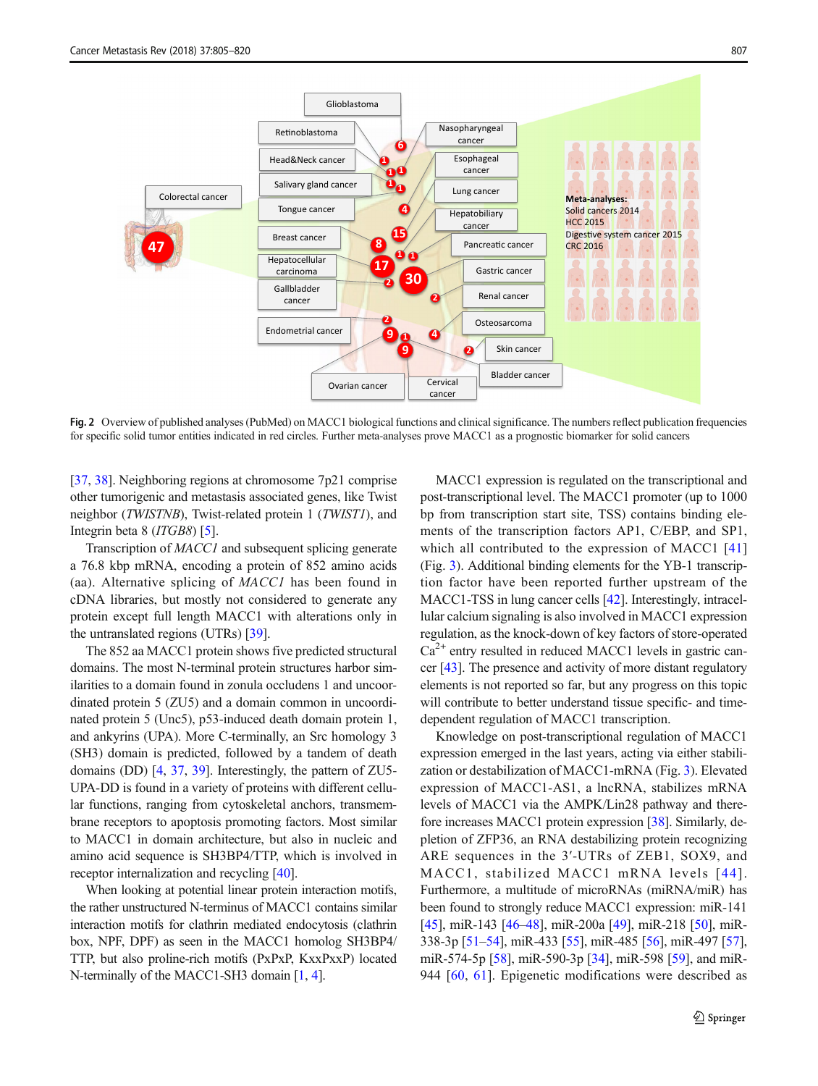<span id="page-2-0"></span>

Fig. 2 Overview of published analyses (PubMed) on MACC1 biological functions and clinical significance. The numbers reflect publication frequencies for specific solid tumor entities indicated in red circles. Further meta-analyses prove MACC1 as a prognostic biomarker for solid cancers

[\[37,](#page-11-0) [38\]](#page-11-0). Neighboring regions at chromosome 7p21 comprise other tumorigenic and metastasis associated genes, like Twist neighbor (TWISTNB), Twist-related protein 1 (TWIST1), and Integrin beta 8 (ITGB8) [[5\]](#page-10-0).

Transcription of MACC1 and subsequent splicing generate a 76.8 kbp mRNA, encoding a protein of 852 amino acids (aa). Alternative splicing of MACC1 has been found in cDNA libraries, but mostly not considered to generate any protein except full length MACC1 with alterations only in the untranslated regions (UTRs) [[39](#page-11-0)].

The 852 aa MACC1 protein shows five predicted structural domains. The most N-terminal protein structures harbor similarities to a domain found in zonula occludens 1 and uncoordinated protein 5 (ZU5) and a domain common in uncoordinated protein 5 (Unc5), p53-induced death domain protein 1, and ankyrins (UPA). More C-terminally, an Src homology 3 (SH3) domain is predicted, followed by a tandem of death domains (DD) [[4,](#page-10-0) [37](#page-11-0), [39\]](#page-11-0). Interestingly, the pattern of ZU5- UPA-DD is found in a variety of proteins with different cellular functions, ranging from cytoskeletal anchors, transmembrane receptors to apoptosis promoting factors. Most similar to MACC1 in domain architecture, but also in nucleic and amino acid sequence is SH3BP4/TTP, which is involved in receptor internalization and recycling [[40](#page-11-0)].

When looking at potential linear protein interaction motifs, the rather unstructured N-terminus of MACC1 contains similar interaction motifs for clathrin mediated endocytosis (clathrin box, NPF, DPF) as seen in the MACC1 homolog SH3BP4/ TTP, but also proline-rich motifs (PxPxP, KxxPxxP) located N-terminally of the MACC1-SH3 domain [\[1](#page-10-0), [4\]](#page-10-0).

MACC1 expression is regulated on the transcriptional and post-transcriptional level. The MACC1 promoter (up to 1000 bp from transcription start site, TSS) contains binding elements of the transcription factors AP1, C/EBP, and SP1, which all contributed to the expression of MACC1 [[41](#page-11-0)] (Fig. [3](#page-3-0)). Additional binding elements for the YB-1 transcription factor have been reported further upstream of the MACC1-TSS in lung cancer cells [\[42\]](#page-11-0). Interestingly, intracellular calcium signaling is also involved in MACC1 expression regulation, as the knock-down of key factors of store-operated  $Ca<sup>2+</sup>$  entry resulted in reduced MACC1 levels in gastric cancer [\[43](#page-11-0)]. The presence and activity of more distant regulatory elements is not reported so far, but any progress on this topic will contribute to better understand tissue specific- and timedependent regulation of MACC1 transcription.

Knowledge on post-transcriptional regulation of MACC1 expression emerged in the last years, acting via either stabilization or destabilization of MACC1-mRNA (Fig. [3\)](#page-3-0). Elevated expression of MACC1-AS1, a lncRNA, stabilizes mRNA levels of MACC1 via the AMPK/Lin28 pathway and therefore increases MACC1 protein expression [\[38](#page-11-0)]. Similarly, depletion of ZFP36, an RNA destabilizing protein recognizing ARE sequences in the 3′-UTRs of ZEB1, SOX9, and MACC1, stabilized MACC1 mRNA levels [44]. Furthermore, a multitude of microRNAs (miRNA/miR) has been found to strongly reduce MACC1 expression: miR-141 [\[45](#page-11-0)], miR-143 [[46](#page-11-0)–[48\]](#page-11-0), miR-200a [[49](#page-11-0)], miR-218 [[50\]](#page-11-0), miR-338-3p [\[51](#page-11-0)–[54\]](#page-12-0), miR-433 [\[55](#page-12-0)], miR-485 [[56](#page-12-0)], miR-497 [[57\]](#page-12-0), miR-574-5p [\[58](#page-12-0)], miR-590-3p [[34\]](#page-11-0), miR-598 [\[59](#page-12-0)], and miR-944 [\[60,](#page-12-0) [61](#page-12-0)]. Epigenetic modifications were described as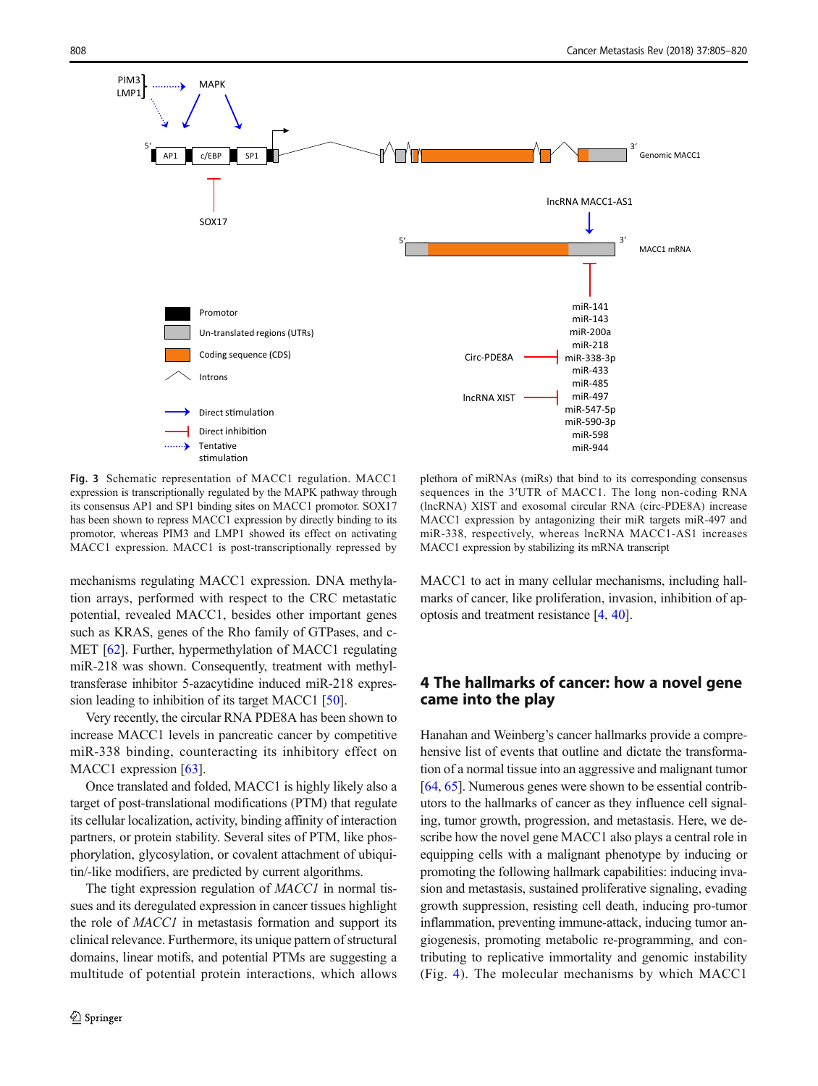<span id="page-3-0"></span>

Fig. 3 Schematic representation of MACC1 regulation. MACC1 expression is transcriptionally regulated by the MAPK pathway through its consensus AP1 and SP1 binding sites on MACC1 promotor. SOX17 has been shown to repress MACC1 expression by directly binding to its promotor, whereas PIM3 and LMP1 showed its effect on activating MACC1 expression. MACC1 is post-transcriptionally repressed by

mechanisms regulating MACC1 expression. DNA methylation arrays, performed with respect to the CRC metastatic potential, revealed MACC1, besides other important genes such as KRAS, genes of the Rho family of GTPases, and c-MET [\[62\]](#page-12-0). Further, hypermethylation of MACC1 regulating miR-218 was shown. Consequently, treatment with methyltransferase inhibitor 5-azacytidine induced miR-218 expression leading to inhibition of its target MACC1 [[50](#page-11-0)].

Very recently, the circular RNA PDE8A has been shown to increase MACC1 levels in pancreatic cancer by competitive miR-338 binding, counteracting its inhibitory effect on MACC1 expression [[63](#page-12-0)].

Once translated and folded, MACC1 is highly likely also a target of post-translational modifications (PTM) that regulate its cellular localization, activity, binding affinity of interaction partners, or protein stability. Several sites of PTM, like phosphorylation, glycosylation, or covalent attachment of ubiquitin/-like modifiers, are predicted by current algorithms.

The tight expression regulation of MACC1 in normal tissues and its deregulated expression in cancer tissues highlight the role of MACC1 in metastasis formation and support its clinical relevance. Furthermore, its unique pattern of structural domains, linear motifs, and potential PTMs are suggesting a multitude of potential protein interactions, which allows

plethora of miRNAs (miRs) that bind to its corresponding consensus sequences in the 3′UTR of MACC1. The long non-coding RNA (lncRNA) XIST and exosomal circular RNA (circ-PDE8A) increase MACC1 expression by antagonizing their miR targets miR-497 and miR-338, respectively, whereas lncRNA MACC1-AS1 increases MACC1 expression by stabilizing its mRNA transcript

MACC1 to act in many cellular mechanisms, including hallmarks of cancer, like proliferation, invasion, inhibition of apoptosis and treatment resistance [\[4](#page-10-0), [40](#page-11-0)].

# 4 The hallmarks of cancer: how a novel gene came into the play

Hanahan and Weinberg's cancer hallmarks provide a comprehensive list of events that outline and dictate the transformation of a normal tissue into an aggressive and malignant tumor [\[64](#page-12-0), [65\]](#page-12-0). Numerous genes were shown to be essential contributors to the hallmarks of cancer as they influence cell signaling, tumor growth, progression, and metastasis. Here, we describe how the novel gene MACC1 also plays a central role in equipping cells with a malignant phenotype by inducing or promoting the following hallmark capabilities: inducing invasion and metastasis, sustained proliferative signaling, evading growth suppression, resisting cell death, inducing pro-tumor inflammation, preventing immune-attack, inducing tumor angiogenesis, promoting metabolic re-programming, and contributing to replicative immortality and genomic instability (Fig. [4](#page-4-0)). The molecular mechanisms by which MACC1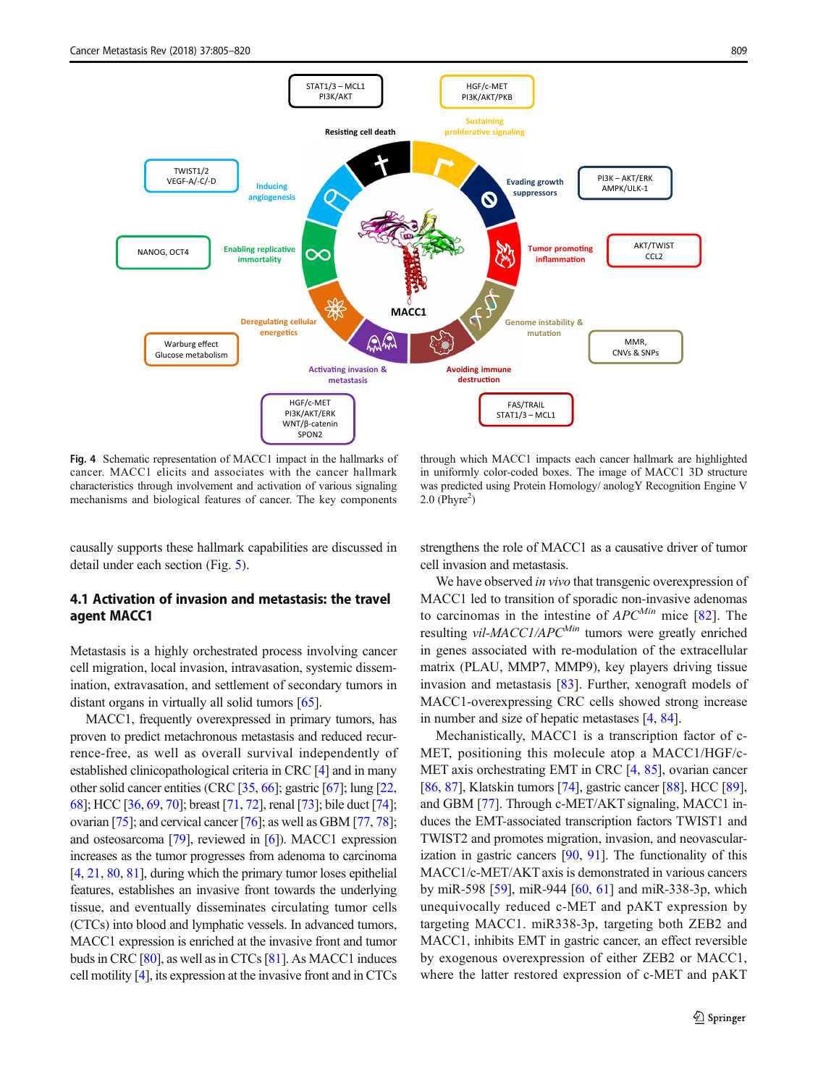<span id="page-4-0"></span>

Fig. 4 Schematic representation of MACC1 impact in the hallmarks of cancer. MACC1 elicits and associates with the cancer hallmark characteristics through involvement and activation of various signaling mechanisms and biological features of cancer. The key components

through which MACC1 impacts each cancer hallmark are highlighted in uniformly color-coded boxes. The image of MACC1 3D structure was predicted using Protein Homology/ anologY Recognition Engine V  $2.0$  (Phyre<sup>2</sup>)

causally supports these hallmark capabilities are discussed in detail under each section (Fig. [5](#page-5-0)).

## 4.1 Activation of invasion and metastasis: the travel agent MACC1

Metastasis is a highly orchestrated process involving cancer cell migration, local invasion, intravasation, systemic dissemination, extravasation, and settlement of secondary tumors in distant organs in virtually all solid tumors [\[65](#page-12-0)].

MACC1, frequently overexpressed in primary tumors, has proven to predict metachronous metastasis and reduced recurrence-free, as well as overall survival independently of established clinicopathological criteria in CRC [\[4\]](#page-10-0) and in many other solid cancer entities (CRC [\[35,](#page-11-0) [66\]](#page-12-0); gastric [[67](#page-12-0)]; lung [\[22,](#page-10-0) [68\]](#page-12-0); HCC [\[36,](#page-11-0) [69](#page-12-0), [70](#page-12-0)]; breast [\[71,](#page-12-0) [72\]](#page-12-0), renal [[73](#page-12-0)]; bile duct [\[74](#page-12-0)]; ovarian [\[75\]](#page-12-0); and cervical cancer [\[76\]](#page-12-0); as well as GBM [\[77,](#page-12-0) [78](#page-12-0)]; and osteosarcoma [[79](#page-12-0)], reviewed in [[6](#page-10-0)]). MACC1 expression increases as the tumor progresses from adenoma to carcinoma [\[4,](#page-10-0) [21](#page-10-0), [80](#page-12-0), [81\]](#page-12-0), during which the primary tumor loses epithelial features, establishes an invasive front towards the underlying tissue, and eventually disseminates circulating tumor cells (CTCs) into blood and lymphatic vessels. In advanced tumors, MACC1 expression is enriched at the invasive front and tumor buds in CRC [\[80](#page-12-0)], as well as in CTCs [\[81](#page-12-0)]. As MACC1 induces cell motility [\[4\]](#page-10-0), its expression at the invasive front and in CTCs strengthens the role of MACC1 as a causative driver of tumor cell invasion and metastasis.

We have observed in vivo that transgenic overexpression of MACC1 led to transition of sporadic non-invasive adenomas to carcinomas in the intestine of  $APC^{Min}$  mice [[82\]](#page-13-0). The resulting *vil-MACC1/APC<sup>Min</sup>* tumors were greatly enriched in genes associated with re-modulation of the extracellular matrix (PLAU, MMP7, MMP9), key players driving tissue invasion and metastasis [\[83](#page-13-0)]. Further, xenograft models of MACC1-overexpressing CRC cells showed strong increase in number and size of hepatic metastases [\[4,](#page-10-0) [84\]](#page-13-0).

Mechanistically, MACC1 is a transcription factor of c-MET, positioning this molecule atop a MACC1/HGF/c-MET axis orchestrating EMT in CRC [\[4](#page-10-0), [85\]](#page-13-0), ovarian cancer [\[86](#page-13-0), [87\]](#page-13-0), Klatskin tumors [\[74\]](#page-12-0), gastric cancer [\[88](#page-13-0)], HCC [[89\]](#page-13-0), and GBM [[77](#page-12-0)]. Through c-MET/AKT signaling, MACC1 induces the EMT-associated transcription factors TWIST1 and TWIST2 and promotes migration, invasion, and neovascularization in gastric cancers [\[90,](#page-13-0) [91\]](#page-13-0). The functionality of this MACC1/c-MET/AKT axis is demonstrated in various cancers by miR-598 [[59\]](#page-12-0), miR-944 [\[60,](#page-12-0) [61](#page-12-0)] and miR-338-3p, which unequivocally reduced c-MET and pAKT expression by targeting MACC1. miR338-3p, targeting both ZEB2 and MACC1, inhibits EMT in gastric cancer, an effect reversible by exogenous overexpression of either ZEB2 or MACC1, where the latter restored expression of c-MET and pAKT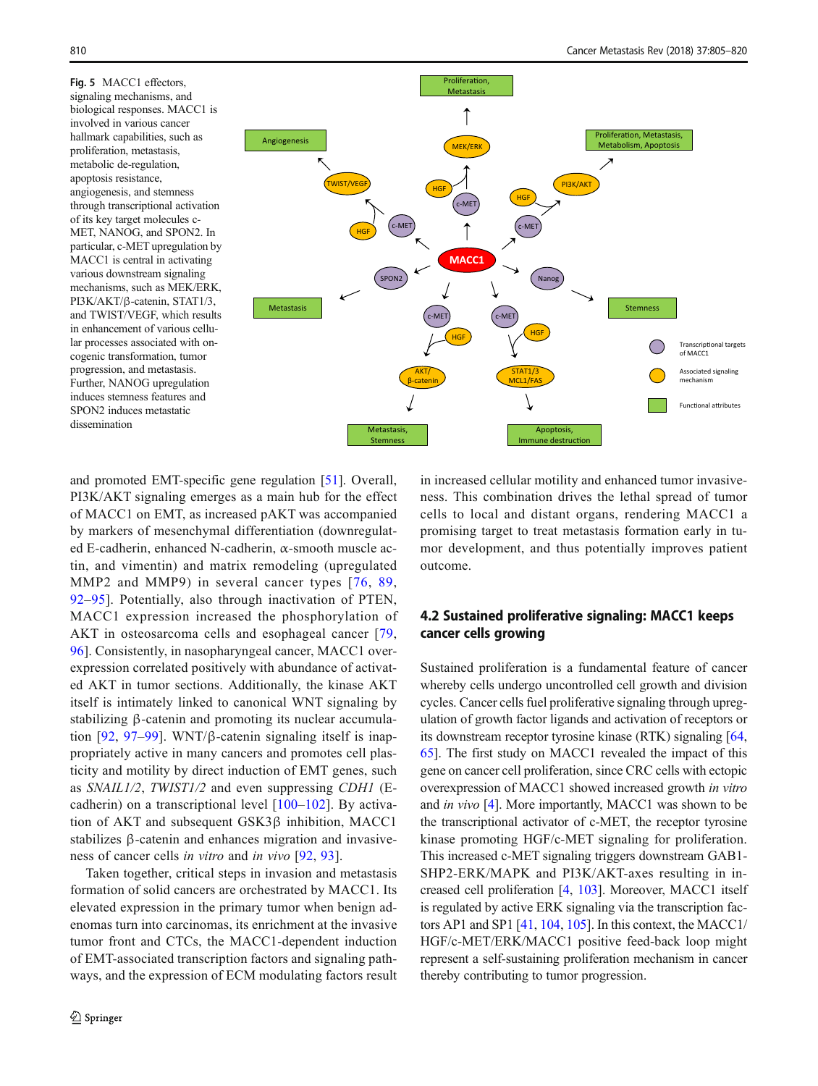<span id="page-5-0"></span>Fig. 5 MACC1 effectors, signaling mechanisms, and biological responses. MACC1 is involved in various cancer hallmark capabilities, such as proliferation, metastasis, metabolic de-regulation, apoptosis resistance, angiogenesis, and stemness through transcriptional activation of its key target molecules c-MET, NANOG, and SPON2. In particular, c-MET upregulation by MACC1 is central in activating various downstream signaling mechanisms, such as MEK/ERK, PI3K/AKT/β-catenin, STAT1/3, and TWIST/VEGF, which results in enhancement of various cellular processes associated with oncogenic transformation, tumor progression, and metastasis. Further, NANOG upregulation induces stemness features and SPON2 induces metastatic dissemination



and promoted EMT-specific gene regulation [[51\]](#page-11-0). Overall, PI3K/AKT signaling emerges as a main hub for the effect of MACC1 on EMT, as increased pAKT was accompanied by markers of mesenchymal differentiation (downregulated E-cadherin, enhanced N-cadherin, α-smooth muscle actin, and vimentin) and matrix remodeling (upregulated MMP2 and MMP9) in several cancer types [[76](#page-12-0), [89,](#page-13-0) [92](#page-13-0)–[95\]](#page-13-0). Potentially, also through inactivation of PTEN, MACC1 expression increased the phosphorylation of AKT in osteosarcoma cells and esophageal cancer [[79,](#page-12-0) [96](#page-13-0)]. Consistently, in nasopharyngeal cancer, MACC1 overexpression correlated positively with abundance of activated AKT in tumor sections. Additionally, the kinase AKT itself is intimately linked to canonical WNT signaling by stabilizing β-catenin and promoting its nuclear accumulation  $[92, 97-99]$  $[92, 97-99]$  $[92, 97-99]$  $[92, 97-99]$  $[92, 97-99]$  $[92, 97-99]$ . WNT/ $\beta$ -catenin signaling itself is inappropriately active in many cancers and promotes cell plasticity and motility by direct induction of EMT genes, such as SNAIL1/2, TWIST1/2 and even suppressing CDH1 (Ecadherin) on a transcriptional level [[100](#page-13-0)–[102](#page-13-0)]. By activation of AKT and subsequent GSK3β inhibition, MACC1 stabilizes β-catenin and enhances migration and invasiveness of cancer cells in vitro and in vivo [[92](#page-13-0), [93\]](#page-13-0).

Taken together, critical steps in invasion and metastasis formation of solid cancers are orchestrated by MACC1. Its elevated expression in the primary tumor when benign adenomas turn into carcinomas, its enrichment at the invasive tumor front and CTCs, the MACC1-dependent induction of EMT-associated transcription factors and signaling pathways, and the expression of ECM modulating factors result in increased cellular motility and enhanced tumor invasiveness. This combination drives the lethal spread of tumor cells to local and distant organs, rendering MACC1 a promising target to treat metastasis formation early in tumor development, and thus potentially improves patient outcome.

# 4.2 Sustained proliferative signaling: MACC1 keeps cancer cells growing

Sustained proliferation is a fundamental feature of cancer whereby cells undergo uncontrolled cell growth and division cycles. Cancer cells fuel proliferative signaling through upregulation of growth factor ligands and activation of receptors or its downstream receptor tyrosine kinase (RTK) signaling [\[64,](#page-12-0) [65\]](#page-12-0). The first study on MACC1 revealed the impact of this gene on cancer cell proliferation, since CRC cells with ectopic overexpression of MACC1 showed increased growth in vitro and in vivo [\[4](#page-10-0)]. More importantly, MACC1 was shown to be the transcriptional activator of c-MET, the receptor tyrosine kinase promoting HGF/c-MET signaling for proliferation. This increased c-MET signaling triggers downstream GAB1- SHP2-ERK/MAPK and PI3K/AKT-axes resulting in increased cell proliferation [\[4,](#page-10-0) [103](#page-13-0)]. Moreover, MACC1 itself is regulated by active ERK signaling via the transcription factors AP1 and SP1 [\[41,](#page-11-0) [104](#page-13-0), [105](#page-13-0)]. In this context, the MACC1/ HGF/c-MET/ERK/MACC1 positive feed-back loop might represent a self-sustaining proliferation mechanism in cancer thereby contributing to tumor progression.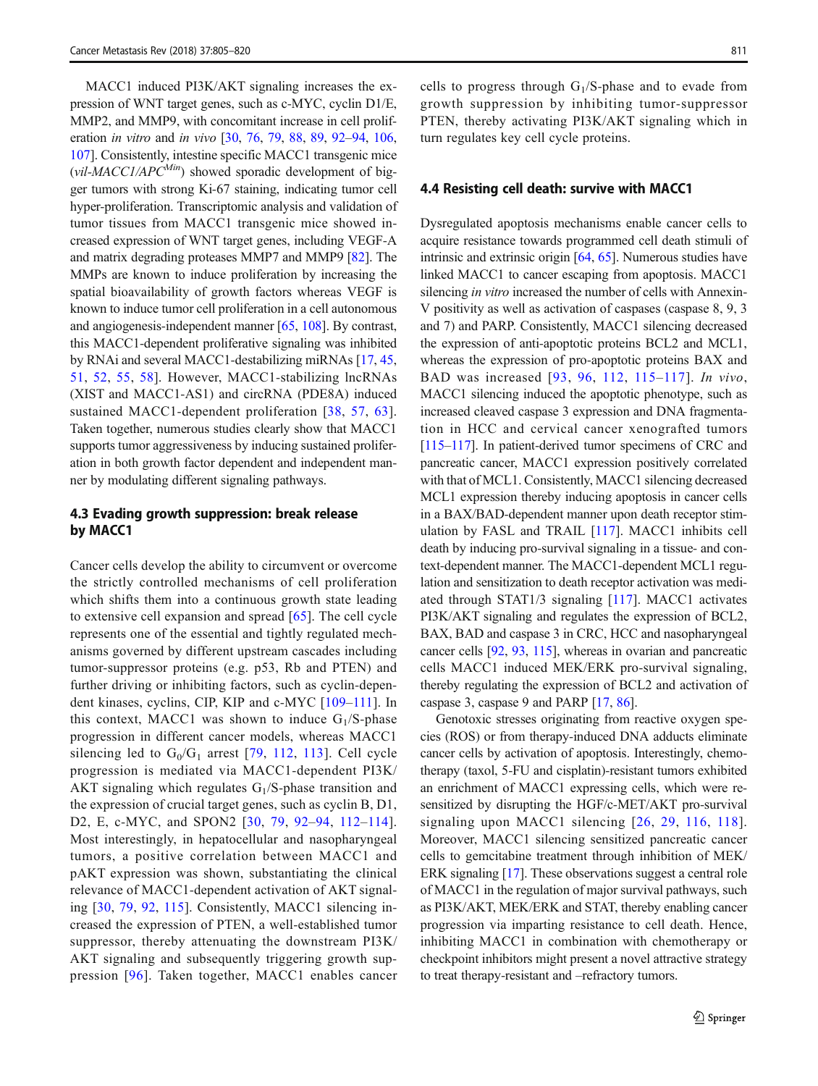MACC1 induced PI3K/AKT signaling increases the expression of WNT target genes, such as c-MYC, cyclin D1/E, MMP2, and MMP9, with concomitant increase in cell proliferation in vitro and in vivo [\[30,](#page-11-0) [76](#page-12-0), [79,](#page-12-0) [88](#page-13-0), [89,](#page-13-0) [92](#page-13-0)–[94](#page-13-0), [106,](#page-13-0) [107\]](#page-13-0). Consistently, intestine specific MACC1 transgenic mice (vil-MACC1/APC<sup>Min</sup>) showed sporadic development of bigger tumors with strong Ki-67 staining, indicating tumor cell hyper-proliferation. Transcriptomic analysis and validation of tumor tissues from MACC1 transgenic mice showed increased expression of WNT target genes, including VEGF-A and matrix degrading proteases MMP7 and MMP9 [\[82\]](#page-13-0). The MMPs are known to induce proliferation by increasing the spatial bioavailability of growth factors whereas VEGF is known to induce tumor cell proliferation in a cell autonomous and angiogenesis-independent manner [\[65,](#page-12-0) [108](#page-13-0)]. By contrast, this MACC1-dependent proliferative signaling was inhibited by RNAi and several MACC1-destabilizing miRNAs [\[17](#page-10-0), [45,](#page-11-0) [51](#page-11-0), [52](#page-11-0), [55](#page-12-0), [58](#page-12-0)]. However, MACC1-stabilizing lncRNAs (XIST and MACC1-AS1) and circRNA (PDE8A) induced sustained MACC1-dependent proliferation [[38,](#page-11-0) [57](#page-12-0), [63](#page-12-0)]. Taken together, numerous studies clearly show that MACC1 supports tumor aggressiveness by inducing sustained proliferation in both growth factor dependent and independent manner by modulating different signaling pathways.

### 4.3 Evading growth suppression: break release by MACC1

Cancer cells develop the ability to circumvent or overcome the strictly controlled mechanisms of cell proliferation which shifts them into a continuous growth state leading to extensive cell expansion and spread [\[65\]](#page-12-0). The cell cycle represents one of the essential and tightly regulated mechanisms governed by different upstream cascades including tumor-suppressor proteins (e.g. p53, Rb and PTEN) and further driving or inhibiting factors, such as cyclin-dependent kinases, cyclins, CIP, KIP and c-MYC [[109](#page-13-0)–[111\]](#page-14-0). In this context, MACC1 was shown to induce  $G_1/S$ -phase progression in different cancer models, whereas MACC1 silencing led to  $G_0/G_1$  arrest [[79,](#page-12-0) [112,](#page-14-0) [113](#page-14-0)]. Cell cycle progression is mediated via MACC1-dependent PI3K/ AKT signaling which regulates  $G_1/S$ -phase transition and the expression of crucial target genes, such as cyclin B, D1, D2, E, c-MYC, and SPON2 [[30](#page-11-0), [79,](#page-12-0) [92](#page-13-0)–[94](#page-13-0), [112](#page-14-0)–[114](#page-14-0)]. Most interestingly, in hepatocellular and nasopharyngeal tumors, a positive correlation between MACC1 and pAKT expression was shown, substantiating the clinical relevance of MACC1-dependent activation of AKT signaling [[30,](#page-11-0) [79](#page-12-0), [92](#page-13-0), [115](#page-14-0)]. Consistently, MACC1 silencing increased the expression of PTEN, a well-established tumor suppressor, thereby attenuating the downstream PI3K/ AKT signaling and subsequently triggering growth suppression [[96\]](#page-13-0). Taken together, MACC1 enables cancer cells to progress through  $G_1/S$ -phase and to evade from growth suppression by inhibiting tumor-suppressor PTEN, thereby activating PI3K/AKT signaling which in turn regulates key cell cycle proteins.

#### 4.4 Resisting cell death: survive with MACC1

Dysregulated apoptosis mechanisms enable cancer cells to acquire resistance towards programmed cell death stimuli of intrinsic and extrinsic origin [[64,](#page-12-0) [65](#page-12-0)]. Numerous studies have linked MACC1 to cancer escaping from apoptosis. MACC1 silencing *in vitro* increased the number of cells with Annexin-V positivity as well as activation of caspases (caspase 8, 9, 3 and 7) and PARP. Consistently, MACC1 silencing decreased the expression of anti-apoptotic proteins BCL2 and MCL1, whereas the expression of pro-apoptotic proteins BAX and BAD was increased [[93,](#page-13-0) [96,](#page-13-0) [112,](#page-14-0) [115](#page-14-0)–[117](#page-14-0)]. In vivo, MACC1 silencing induced the apoptotic phenotype, such as increased cleaved caspase 3 expression and DNA fragmentation in HCC and cervical cancer xenografted tumors [\[115](#page-14-0)–[117\]](#page-14-0). In patient-derived tumor specimens of CRC and pancreatic cancer, MACC1 expression positively correlated with that of MCL1. Consistently, MACC1 silencing decreased MCL1 expression thereby inducing apoptosis in cancer cells in a BAX/BAD-dependent manner upon death receptor stimulation by FASL and TRAIL [[117](#page-14-0)]. MACC1 inhibits cell death by inducing pro-survival signaling in a tissue- and context-dependent manner. The MACC1-dependent MCL1 regulation and sensitization to death receptor activation was mediated through STAT1/3 signaling [\[117\]](#page-14-0). MACC1 activates PI3K/AKT signaling and regulates the expression of BCL2, BAX, BAD and caspase 3 in CRC, HCC and nasopharyngeal cancer cells [[92,](#page-13-0) [93,](#page-13-0) [115](#page-14-0)], whereas in ovarian and pancreatic cells MACC1 induced MEK/ERK pro-survival signaling, thereby regulating the expression of BCL2 and activation of caspase 3, caspase 9 and PARP [\[17,](#page-10-0) [86\]](#page-13-0).

Genotoxic stresses originating from reactive oxygen species (ROS) or from therapy-induced DNA adducts eliminate cancer cells by activation of apoptosis. Interestingly, chemotherapy (taxol, 5-FU and cisplatin)-resistant tumors exhibited an enrichment of MACC1 expressing cells, which were resensitized by disrupting the HGF/c-MET/AKT pro-survival signaling upon MACC1 silencing [[26](#page-11-0), [29](#page-11-0), [116](#page-14-0), [118](#page-14-0)]. Moreover, MACC1 silencing sensitized pancreatic cancer cells to gemcitabine treatment through inhibition of MEK/ ERK signaling [[17\]](#page-10-0). These observations suggest a central role of MACC1 in the regulation of major survival pathways, such as PI3K/AKT, MEK/ERK and STAT, thereby enabling cancer progression via imparting resistance to cell death. Hence, inhibiting MACC1 in combination with chemotherapy or checkpoint inhibitors might present a novel attractive strategy to treat therapy-resistant and –refractory tumors.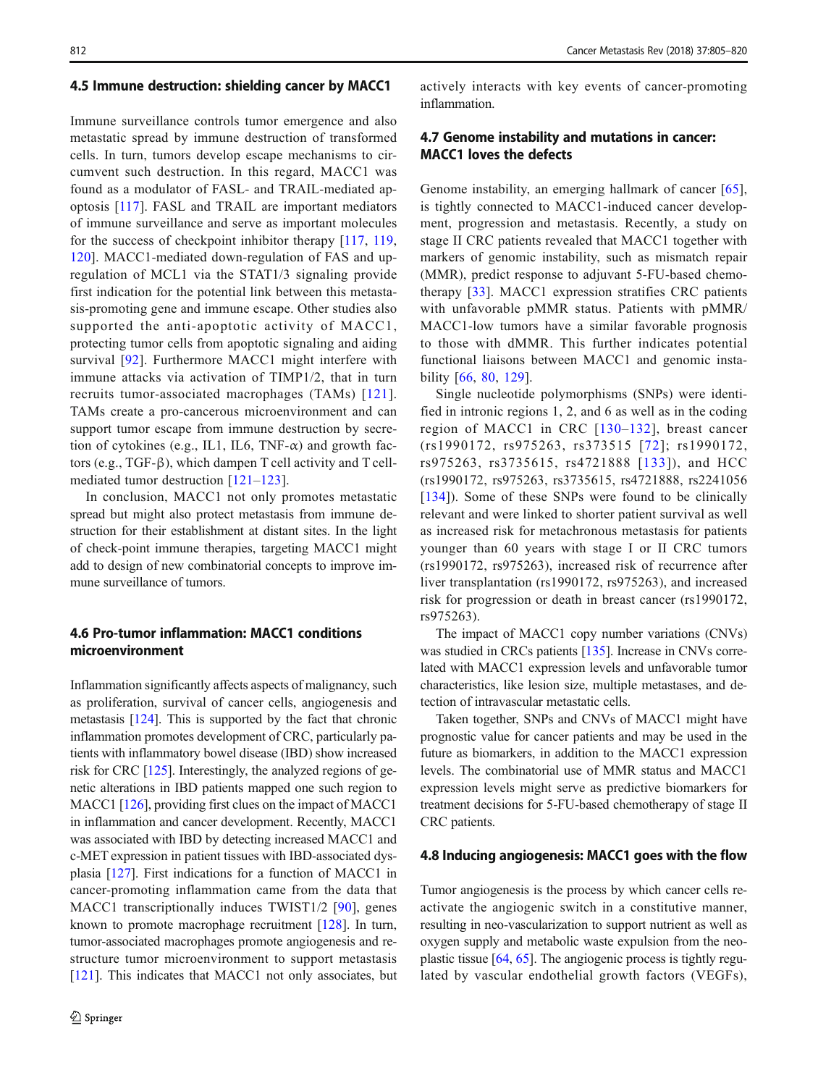#### 4.5 Immune destruction: shielding cancer by MACC1

Immune surveillance controls tumor emergence and also metastatic spread by immune destruction of transformed cells. In turn, tumors develop escape mechanisms to circumvent such destruction. In this regard, MACC1 was found as a modulator of FASL- and TRAIL-mediated apoptosis [[117\]](#page-14-0). FASL and TRAIL are important mediators of immune surveillance and serve as important molecules for the success of checkpoint inhibitor therapy [[117,](#page-14-0) [119,](#page-14-0) [120](#page-14-0)]. MACC1-mediated down-regulation of FAS and upregulation of MCL1 via the STAT1/3 signaling provide first indication for the potential link between this metastasis-promoting gene and immune escape. Other studies also supported the anti-apoptotic activity of MACC1, protecting tumor cells from apoptotic signaling and aiding survival [\[92](#page-13-0)]. Furthermore MACC1 might interfere with immune attacks via activation of TIMP1/2, that in turn recruits tumor-associated macrophages (TAMs) [[121](#page-14-0)]. TAMs create a pro-cancerous microenvironment and can support tumor escape from immune destruction by secretion of cytokines (e.g., IL1, IL6, TNF- $\alpha$ ) and growth factors (e.g., TGF-β), which dampen T cell activity and T cellmediated tumor destruction [\[121](#page-14-0)–[123\]](#page-14-0).

In conclusion, MACC1 not only promotes metastatic spread but might also protect metastasis from immune destruction for their establishment at distant sites. In the light of check-point immune therapies, targeting MACC1 might add to design of new combinatorial concepts to improve immune surveillance of tumors.

### 4.6 Pro-tumor inflammation: MACC1 conditions microenvironment

Inflammation significantly affects aspects of malignancy, such as proliferation, survival of cancer cells, angiogenesis and metastasis [[124](#page-14-0)]. This is supported by the fact that chronic inflammation promotes development of CRC, particularly patients with inflammatory bowel disease (IBD) show increased risk for CRC [\[125](#page-14-0)]. Interestingly, the analyzed regions of genetic alterations in IBD patients mapped one such region to MACC1 [\[126\]](#page-14-0), providing first clues on the impact of MACC1 in inflammation and cancer development. Recently, MACC1 was associated with IBD by detecting increased MACC1 and c-MET expression in patient tissues with IBD-associated dysplasia [[127](#page-14-0)]. First indications for a function of MACC1 in cancer-promoting inflammation came from the data that MACC1 transcriptionally induces TWIST1/2 [[90](#page-13-0)], genes known to promote macrophage recruitment [\[128](#page-14-0)]. In turn, tumor-associated macrophages promote angiogenesis and restructure tumor microenvironment to support metastasis [\[121](#page-14-0)]. This indicates that MACC1 not only associates, but actively interacts with key events of cancer-promoting inflammation.

# 4.7 Genome instability and mutations in cancer: MACC1 loves the defects

Genome instability, an emerging hallmark of cancer [\[65](#page-12-0)], is tightly connected to MACC1-induced cancer development, progression and metastasis. Recently, a study on stage II CRC patients revealed that MACC1 together with markers of genomic instability, such as mismatch repair (MMR), predict response to adjuvant 5-FU-based chemotherapy [[33\]](#page-11-0). MACC1 expression stratifies CRC patients with unfavorable pMMR status. Patients with pMMR/ MACC1-low tumors have a similar favorable prognosis to those with dMMR. This further indicates potential functional liaisons between MACC1 and genomic instability [\[66,](#page-12-0) [80,](#page-12-0) [129](#page-14-0)].

Single nucleotide polymorphisms (SNPs) were identified in intronic regions 1, 2, and 6 as well as in the coding region of MACC1 in CRC [[130](#page-14-0)–[132](#page-14-0)], breast cancer (rs1990172, rs975263, rs373515 [[72\]](#page-12-0); rs1990172, rs975263, rs3735615, rs4721888 [[133](#page-14-0)]), and HCC (rs1990172, rs975263, rs3735615, rs4721888, rs2241056 [\[134\]](#page-14-0)). Some of these SNPs were found to be clinically relevant and were linked to shorter patient survival as well as increased risk for metachronous metastasis for patients younger than 60 years with stage I or II CRC tumors (rs1990172, rs975263), increased risk of recurrence after liver transplantation (rs1990172, rs975263), and increased risk for progression or death in breast cancer (rs1990172, rs975263).

The impact of MACC1 copy number variations (CNVs) was studied in CRCs patients [[135](#page-14-0)]. Increase in CNVs correlated with MACC1 expression levels and unfavorable tumor characteristics, like lesion size, multiple metastases, and detection of intravascular metastatic cells.

Taken together, SNPs and CNVs of MACC1 might have prognostic value for cancer patients and may be used in the future as biomarkers, in addition to the MACC1 expression levels. The combinatorial use of MMR status and MACC1 expression levels might serve as predictive biomarkers for treatment decisions for 5-FU-based chemotherapy of stage II CRC patients.

#### 4.8 Inducing angiogenesis: MACC1 goes with the flow

Tumor angiogenesis is the process by which cancer cells reactivate the angiogenic switch in a constitutive manner, resulting in neo-vascularization to support nutrient as well as oxygen supply and metabolic waste expulsion from the neoplastic tissue [\[64,](#page-12-0) [65\]](#page-12-0). The angiogenic process is tightly regulated by vascular endothelial growth factors (VEGFs),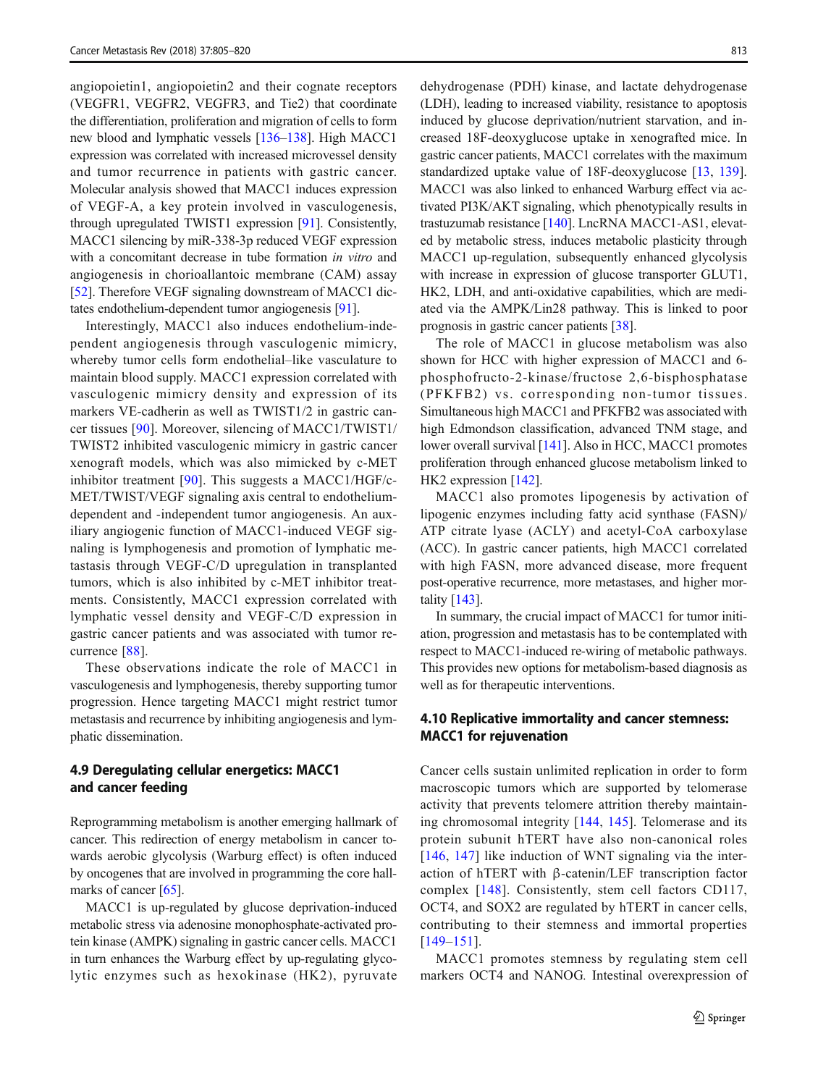angiopoietin1, angiopoietin2 and their cognate receptors (VEGFR1, VEGFR2, VEGFR3, and Tie2) that coordinate the differentiation, proliferation and migration of cells to form new blood and lymphatic vessels [\[136](#page-14-0)–[138\]](#page-14-0). High MACC1 expression was correlated with increased microvessel density and tumor recurrence in patients with gastric cancer. Molecular analysis showed that MACC1 induces expression of VEGF-A, a key protein involved in vasculogenesis, through upregulated TWIST1 expression [\[91\]](#page-13-0). Consistently, MACC1 silencing by miR-338-3p reduced VEGF expression with a concomitant decrease in tube formation in vitro and angiogenesis in chorioallantoic membrane (CAM) assay [\[52\]](#page-11-0). Therefore VEGF signaling downstream of MACC1 dictates endothelium-dependent tumor angiogenesis [[91\]](#page-13-0).

Interestingly, MACC1 also induces endothelium-independent angiogenesis through vasculogenic mimicry, whereby tumor cells form endothelial–like vasculature to maintain blood supply. MACC1 expression correlated with vasculogenic mimicry density and expression of its markers VE-cadherin as well as TWIST1/2 in gastric cancer tissues [[90](#page-13-0)]. Moreover, silencing of MACC1/TWIST1/ TWIST2 inhibited vasculogenic mimicry in gastric cancer xenograft models, which was also mimicked by c-MET inhibitor treatment [\[90](#page-13-0)]. This suggests a MACC1/HGF/c-MET/TWIST/VEGF signaling axis central to endotheliumdependent and -independent tumor angiogenesis. An auxiliary angiogenic function of MACC1-induced VEGF signaling is lymphogenesis and promotion of lymphatic metastasis through VEGF-C/D upregulation in transplanted tumors, which is also inhibited by c-MET inhibitor treatments. Consistently, MACC1 expression correlated with lymphatic vessel density and VEGF-C/D expression in gastric cancer patients and was associated with tumor recurrence [[88](#page-13-0)].

These observations indicate the role of MACC1 in vasculogenesis and lymphogenesis, thereby supporting tumor progression. Hence targeting MACC1 might restrict tumor metastasis and recurrence by inhibiting angiogenesis and lymphatic dissemination.

## 4.9 Deregulating cellular energetics: MACC1 and cancer feeding

Reprogramming metabolism is another emerging hallmark of cancer. This redirection of energy metabolism in cancer towards aerobic glycolysis (Warburg effect) is often induced by oncogenes that are involved in programming the core hall-marks of cancer [\[65\]](#page-12-0).

MACC1 is up-regulated by glucose deprivation-induced metabolic stress via adenosine monophosphate-activated protein kinase (AMPK) signaling in gastric cancer cells. MACC1 in turn enhances the Warburg effect by up-regulating glycolytic enzymes such as hexokinase (HK2), pyruvate dehydrogenase (PDH) kinase, and lactate dehydrogenase (LDH), leading to increased viability, resistance to apoptosis induced by glucose deprivation/nutrient starvation, and increased 18F-deoxyglucose uptake in xenografted mice. In gastric cancer patients, MACC1 correlates with the maximum standardized uptake value of 18F-deoxyglucose [\[13](#page-10-0), [139\]](#page-15-0). MACC1 was also linked to enhanced Warburg effect via activated PI3K/AKT signaling, which phenotypically results in trastuzumab resistance [[140](#page-15-0)]. LncRNA MACC1-AS1, elevated by metabolic stress, induces metabolic plasticity through MACC1 up-regulation, subsequently enhanced glycolysis with increase in expression of glucose transporter GLUT1, HK2, LDH, and anti-oxidative capabilities, which are mediated via the AMPK/Lin28 pathway. This is linked to poor prognosis in gastric cancer patients [\[38](#page-11-0)].

The role of MACC1 in glucose metabolism was also shown for HCC with higher expression of MACC1 and 6 phosphofructo-2-kinase/fructose 2,6-bisphosphatase (PFKFB2) vs. corresponding non-tumor tissues. Simultaneous high MACC1 and PFKFB2 was associated with high Edmondson classification, advanced TNM stage, and lower overall survival [\[141\]](#page-15-0). Also in HCC, MACC1 promotes proliferation through enhanced glucose metabolism linked to HK2 expression [\[142\]](#page-15-0).

MACC1 also promotes lipogenesis by activation of lipogenic enzymes including fatty acid synthase (FASN)/ ATP citrate lyase (ACLY) and acetyl-CoA carboxylase (ACC). In gastric cancer patients, high MACC1 correlated with high FASN, more advanced disease, more frequent post-operative recurrence, more metastases, and higher mortality [[143](#page-15-0)].

In summary, the crucial impact of MACC1 for tumor initiation, progression and metastasis has to be contemplated with respect to MACC1-induced re-wiring of metabolic pathways. This provides new options for metabolism-based diagnosis as well as for therapeutic interventions.

## 4.10 Replicative immortality and cancer stemness: MACC1 for rejuvenation

Cancer cells sustain unlimited replication in order to form macroscopic tumors which are supported by telomerase activity that prevents telomere attrition thereby maintaining chromosomal integrity [[144,](#page-15-0) [145](#page-15-0)]. Telomerase and its protein subunit hTERT have also non-canonical roles [\[146,](#page-15-0) [147\]](#page-15-0) like induction of WNT signaling via the interaction of hTERT with β-catenin/LEF transcription factor complex [[148\]](#page-15-0). Consistently, stem cell factors CD117, OCT4, and SOX2 are regulated by hTERT in cancer cells, contributing to their stemness and immortal properties [\[149](#page-15-0)–[151](#page-15-0)].

MACC1 promotes stemness by regulating stem cell markers OCT4 and NANOG. Intestinal overexpression of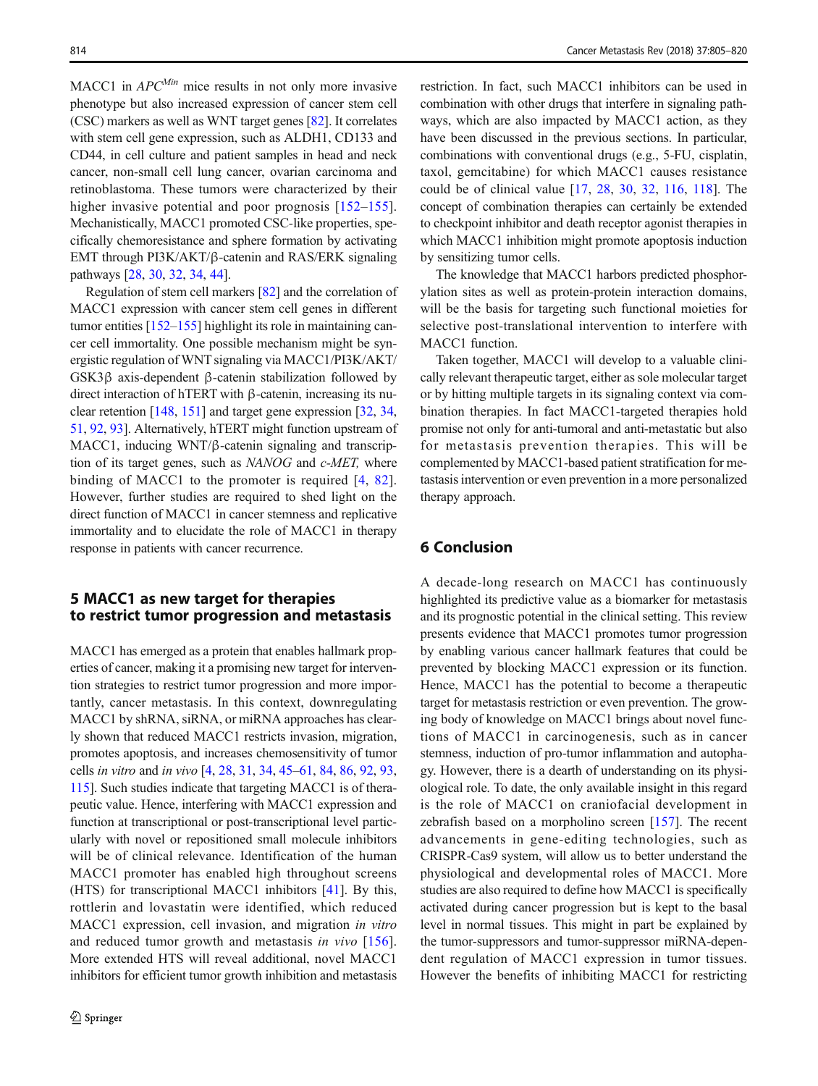MACC1 in  $APC^{Min}$  mice results in not only more invasive phenotype but also increased expression of cancer stem cell (CSC) markers as well as WNT target genes [\[82](#page-13-0)]. It correlates with stem cell gene expression, such as ALDH1, CD133 and CD44, in cell culture and patient samples in head and neck cancer, non-small cell lung cancer, ovarian carcinoma and retinoblastoma. These tumors were characterized by their higher invasive potential and poor prognosis [\[152](#page-15-0)–[155](#page-15-0)]. Mechanistically, MACC1 promoted CSC-like properties, specifically chemoresistance and sphere formation by activating EMT through PI3K/AKT/β-catenin and RAS/ERK signaling pathways [\[28](#page-11-0), [30](#page-11-0), [32,](#page-11-0) [34,](#page-11-0) [44\]](#page-11-0).

Regulation of stem cell markers [\[82\]](#page-13-0) and the correlation of MACC1 expression with cancer stem cell genes in different tumor entities [\[152](#page-15-0)–[155\]](#page-15-0) highlight its role in maintaining cancer cell immortality. One possible mechanism might be synergistic regulation of WNT signaling via MACC1/PI3K/AKT/ GSK3β axis-dependent β-catenin stabilization followed by direct interaction of hTERT with β-catenin, increasing its nuclear retention [\[148,](#page-15-0) [151\]](#page-15-0) and target gene expression [\[32,](#page-11-0) [34,](#page-11-0) [51,](#page-11-0) [92](#page-13-0), [93\]](#page-13-0). Alternatively, hTERT might function upstream of MACC1, inducing WNT/β-catenin signaling and transcription of its target genes, such as NANOG and c-MET, where binding of MACC1 to the promoter is required [[4](#page-10-0), [82](#page-13-0)]. However, further studies are required to shed light on the direct function of MACC1 in cancer stemness and replicative immortality and to elucidate the role of MACC1 in therapy response in patients with cancer recurrence.

## 5 MACC1 as new target for therapies to restrict tumor progression and metastasis

MACC1 has emerged as a protein that enables hallmark properties of cancer, making it a promising new target for intervention strategies to restrict tumor progression and more importantly, cancer metastasis. In this context, downregulating MACC1 by shRNA, siRNA, or miRNA approaches has clearly shown that reduced MACC1 restricts invasion, migration, promotes apoptosis, and increases chemosensitivity of tumor cells in vitro and in vivo [[4](#page-10-0), [28](#page-11-0), [31,](#page-11-0) [34,](#page-11-0) [45](#page-11-0)–[61,](#page-12-0) [84,](#page-13-0) [86](#page-13-0), [92,](#page-13-0) [93,](#page-13-0) [115](#page-14-0)]. Such studies indicate that targeting MACC1 is of therapeutic value. Hence, interfering with MACC1 expression and function at transcriptional or post-transcriptional level particularly with novel or repositioned small molecule inhibitors will be of clinical relevance. Identification of the human MACC1 promoter has enabled high throughout screens (HTS) for transcriptional MACC1 inhibitors [[41\]](#page-11-0). By this, rottlerin and lovastatin were identified, which reduced MACC1 expression, cell invasion, and migration in vitro and reduced tumor growth and metastasis in vivo [[156](#page-15-0)]. More extended HTS will reveal additional, novel MACC1 inhibitors for efficient tumor growth inhibition and metastasis restriction. In fact, such MACC1 inhibitors can be used in combination with other drugs that interfere in signaling pathways, which are also impacted by MACC1 action, as they have been discussed in the previous sections. In particular, combinations with conventional drugs (e.g., 5-FU, cisplatin, taxol, gemcitabine) for which MACC1 causes resistance could be of clinical value [\[17](#page-10-0), [28,](#page-11-0) [30,](#page-11-0) [32](#page-11-0), [116](#page-14-0), [118](#page-14-0)]. The concept of combination therapies can certainly be extended to checkpoint inhibitor and death receptor agonist therapies in which MACC1 inhibition might promote apoptosis induction by sensitizing tumor cells.

The knowledge that MACC1 harbors predicted phosphorylation sites as well as protein-protein interaction domains, will be the basis for targeting such functional moieties for selective post-translational intervention to interfere with MACC1 function.

Taken together, MACC1 will develop to a valuable clinically relevant therapeutic target, either as sole molecular target or by hitting multiple targets in its signaling context via combination therapies. In fact MACC1-targeted therapies hold promise not only for anti-tumoral and anti-metastatic but also for metastasis prevention therapies. This will be complemented by MACC1-based patient stratification for metastasis intervention or even prevention in a more personalized therapy approach.

# 6 Conclusion

A decade-long research on MACC1 has continuously highlighted its predictive value as a biomarker for metastasis and its prognostic potential in the clinical setting. This review presents evidence that MACC1 promotes tumor progression by enabling various cancer hallmark features that could be prevented by blocking MACC1 expression or its function. Hence, MACC1 has the potential to become a therapeutic target for metastasis restriction or even prevention. The growing body of knowledge on MACC1 brings about novel functions of MACC1 in carcinogenesis, such as in cancer stemness, induction of pro-tumor inflammation and autophagy. However, there is a dearth of understanding on its physiological role. To date, the only available insight in this regard is the role of MACC1 on craniofacial development in zebrafish based on a morpholino screen [[157\]](#page-15-0). The recent advancements in gene-editing technologies, such as CRISPR-Cas9 system, will allow us to better understand the physiological and developmental roles of MACC1. More studies are also required to define how MACC1 is specifically activated during cancer progression but is kept to the basal level in normal tissues. This might in part be explained by the tumor-suppressors and tumor-suppressor miRNA-dependent regulation of MACC1 expression in tumor tissues. However the benefits of inhibiting MACC1 for restricting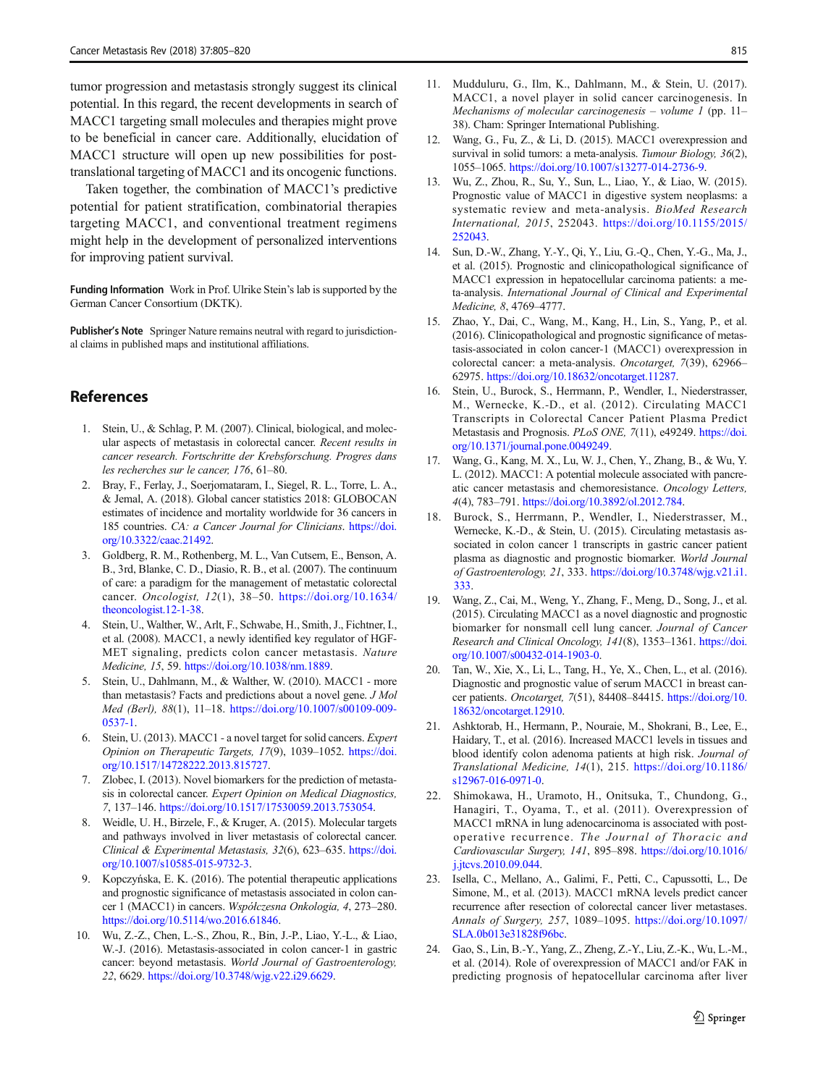<span id="page-10-0"></span>tumor progression and metastasis strongly suggest its clinical potential. In this regard, the recent developments in search of MACC1 targeting small molecules and therapies might prove to be beneficial in cancer care. Additionally, elucidation of MACC1 structure will open up new possibilities for posttranslational targeting of MACC1 and its oncogenic functions.

Taken together, the combination of MACC1's predictive potential for patient stratification, combinatorial therapies targeting MACC1, and conventional treatment regimens might help in the development of personalized interventions for improving patient survival.

Funding Information Work in Prof. Ulrike Stein's lab is supported by the German Cancer Consortium (DKTK).

Publisher's Note Springer Nature remains neutral with regard to jurisdictional claims in published maps and institutional affiliations.

# **References**

- 1. Stein, U., & Schlag, P. M. (2007). Clinical, biological, and molecular aspects of metastasis in colorectal cancer. Recent results in cancer research. Fortschritte der Krebsforschung. Progres dans les recherches sur le cancer, 176, 61–80.
- 2. Bray, F., Ferlay, J., Soerjomataram, I., Siegel, R. L., Torre, L. A., & Jemal, A. (2018). Global cancer statistics 2018: GLOBOCAN estimates of incidence and mortality worldwide for 36 cancers in 185 countries. CA: a Cancer Journal for Clinicians. [https://doi.](https://doi.org/10.3322/caac.21492) [org/10.3322/caac.21492.](https://doi.org/10.3322/caac.21492)
- 3. Goldberg, R. M., Rothenberg, M. L., Van Cutsem, E., Benson, A. B., 3rd, Blanke, C. D., Diasio, R. B., et al. (2007). The continuum of care: a paradigm for the management of metastatic colorectal cancer. Oncologist, 12(1), 38–50. [https://doi.org/10.1634/](https://doi.org/10.1634/theoncologist.12-1-38) [theoncologist.12-1-38](https://doi.org/10.1634/theoncologist.12-1-38).
- 4. Stein, U., Walther, W., Arlt, F., Schwabe, H., Smith, J., Fichtner, I., et al. (2008). MACC1, a newly identified key regulator of HGF-MET signaling, predicts colon cancer metastasis. Nature Medicine, 15, 59. <https://doi.org/10.1038/nm.1889>.
- 5. Stein, U., Dahlmann, M., & Walther, W. (2010). MACC1 more than metastasis? Facts and predictions about a novel gene. J Mol Med (Berl), 88(1), 11–18. [https://doi.org/10.1007/s00109-009-](https://doi.org/10.1007/s00109-009-0537-1) [0537-1.](https://doi.org/10.1007/s00109-009-0537-1)
- 6. Stein, U. (2013). MACC1 a novel target for solid cancers. Expert Opinion on Therapeutic Targets, 17(9), 1039–1052. [https://doi.](https://doi.org/10.1517/14728222.2013.815727) [org/10.1517/14728222.2013.815727](https://doi.org/10.1517/14728222.2013.815727).
- 7. Zlobec, I. (2013). Novel biomarkers for the prediction of metastasis in colorectal cancer. Expert Opinion on Medical Diagnostics, 7, 137–146. [https://doi.org/10.1517/17530059.2013.753054.](https://doi.org/10.1517/17530059.2013.753054)
- 8. Weidle, U. H., Birzele, F., & Kruger, A. (2015). Molecular targets and pathways involved in liver metastasis of colorectal cancer. Clinical & Experimental Metastasis, 32(6), 623–635. [https://doi.](https://doi.org/10.1007/s10585-015-9732-3) [org/10.1007/s10585-015-9732-3](https://doi.org/10.1007/s10585-015-9732-3).
- 9. Kopczyńska, E. K. (2016). The potential therapeutic applications and prognostic significance of metastasis associated in colon cancer 1 (MACC1) in cancers. Współczesna Onkologia, 4, 273–280. [https://doi.org/10.5114/wo.2016.61846.](https://doi.org/10.5114/wo.2016.61846)
- 10. Wu, Z.-Z., Chen, L.-S., Zhou, R., Bin, J.-P., Liao, Y.-L., & Liao, W.-J. (2016). Metastasis-associated in colon cancer-1 in gastric cancer: beyond metastasis. World Journal of Gastroenterology, 22, 6629. <https://doi.org/10.3748/wjg.v22.i29.6629>.
- 11. Mudduluru, G., Ilm, K., Dahlmann, M., & Stein, U. (2017). MACC1, a novel player in solid cancer carcinogenesis. In Mechanisms of molecular carcinogenesis – volume 1 (pp. 11– 38). Cham: Springer International Publishing.
- 12. Wang, G., Fu, Z., & Li, D. (2015). MACC1 overexpression and survival in solid tumors: a meta-analysis. Tumour Biology, 36(2), 1055–1065. [https://doi.org/10.1007/s13277-014-2736-9.](https://doi.org/10.1007/s13277-014-2736-9)
- 13. Wu, Z., Zhou, R., Su, Y., Sun, L., Liao, Y., & Liao, W. (2015). Prognostic value of MACC1 in digestive system neoplasms: a systematic review and meta-analysis. BioMed Research International, 2015, 252043. [https://doi.org/10.1155/2015/](https://doi.org/10.1155/2015/252043) [252043](https://doi.org/10.1155/2015/252043).
- 14. Sun, D.-W., Zhang, Y.-Y., Qi, Y., Liu, G.-Q., Chen, Y.-G., Ma, J., et al. (2015). Prognostic and clinicopathological significance of MACC1 expression in hepatocellular carcinoma patients: a meta-analysis. International Journal of Clinical and Experimental Medicine, 8, 4769–4777.
- 15. Zhao, Y., Dai, C., Wang, M., Kang, H., Lin, S., Yang, P., et al. (2016). Clinicopathological and prognostic significance of metastasis-associated in colon cancer-1 (MACC1) overexpression in colorectal cancer: a meta-analysis. Oncotarget, 7(39), 62966– 62975. <https://doi.org/10.18632/oncotarget.11287>.
- 16. Stein, U., Burock, S., Herrmann, P., Wendler, I., Niederstrasser, M., Wernecke, K.-D., et al. (2012). Circulating MACC1 Transcripts in Colorectal Cancer Patient Plasma Predict Metastasis and Prognosis. PLoS ONE, 7(11), e49249. [https://doi.](https://doi.org/10.1371/journal.pone.0049249) [org/10.1371/journal.pone.0049249.](https://doi.org/10.1371/journal.pone.0049249)
- 17. Wang, G., Kang, M. X., Lu, W. J., Chen, Y., Zhang, B., & Wu, Y. L. (2012). MACC1: A potential molecule associated with pancreatic cancer metastasis and chemoresistance. Oncology Letters, 4(4), 783–791. [https://doi.org/10.3892/ol.2012.784.](https://doi.org/10.3892/ol.2012.784)
- 18. Burock, S., Herrmann, P., Wendler, I., Niederstrasser, M., Wernecke, K.-D., & Stein, U. (2015). Circulating metastasis associated in colon cancer 1 transcripts in gastric cancer patient plasma as diagnostic and prognostic biomarker. World Journal of Gastroenterology, 21, 333. [https://doi.org/10.3748/wjg.v21.i1.](https://doi.org/10.3748/wjg.v21.i1.333) [333.](https://doi.org/10.3748/wjg.v21.i1.333)
- 19. Wang, Z., Cai, M., Weng, Y., Zhang, F., Meng, D., Song, J., et al. (2015). Circulating MACC1 as a novel diagnostic and prognostic biomarker for nonsmall cell lung cancer. Journal of Cancer Research and Clinical Oncology, 141(8), 1353–1361. [https://doi.](https://doi.org/10.1007/s00432-014-1903-0) [org/10.1007/s00432-014-1903-0](https://doi.org/10.1007/s00432-014-1903-0).
- 20. Tan, W., Xie, X., Li, L., Tang, H., Ye, X., Chen, L., et al. (2016). Diagnostic and prognostic value of serum MACC1 in breast cancer patients. Oncotarget, 7(51), 84408–84415. [https://doi.org/10.](https://doi.org/10.18632/oncotarget.12910) [18632/oncotarget.12910](https://doi.org/10.18632/oncotarget.12910).
- 21. Ashktorab, H., Hermann, P., Nouraie, M., Shokrani, B., Lee, E., Haidary, T., et al. (2016). Increased MACC1 levels in tissues and blood identify colon adenoma patients at high risk. Journal of Translational Medicine, 14(1), 215. [https://doi.org/10.1186/](https://doi.org/10.1186/s12967-016-0971-0) [s12967-016-0971-0](https://doi.org/10.1186/s12967-016-0971-0).
- 22. Shimokawa, H., Uramoto, H., Onitsuka, T., Chundong, G., Hanagiri, T., Oyama, T., et al. (2011). Overexpression of MACC1 mRNA in lung adenocarcinoma is associated with postoperative recurrence. The Journal of Thoracic and Cardiovascular Surgery, 141, 895–898. [https://doi.org/10.1016/](https://doi.org/10.1016/j.jtcvs.2010.09.044) [j.jtcvs.2010.09.044.](https://doi.org/10.1016/j.jtcvs.2010.09.044)
- 23. Isella, C., Mellano, A., Galimi, F., Petti, C., Capussotti, L., De Simone, M., et al. (2013). MACC1 mRNA levels predict cancer recurrence after resection of colorectal cancer liver metastases. Annals of Surgery, 257, 1089–1095. [https://doi.org/10.1097/](https://doi.org/10.1097/SLA.0b013e31828f96bc) [SLA.0b013e31828f96bc.](https://doi.org/10.1097/SLA.0b013e31828f96bc)
- 24. Gao, S., Lin, B.-Y., Yang, Z., Zheng, Z.-Y., Liu, Z.-K., Wu, L.-M., et al. (2014). Role of overexpression of MACC1 and/or FAK in predicting prognosis of hepatocellular carcinoma after liver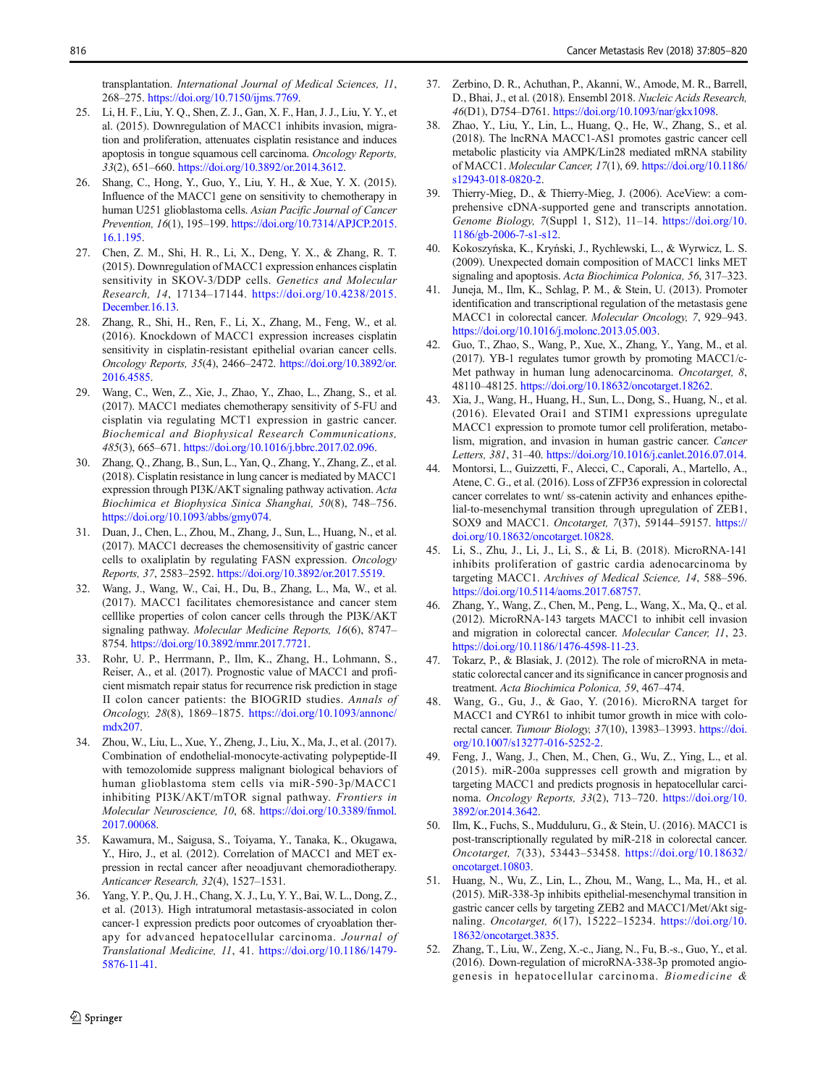<span id="page-11-0"></span>transplantation. International Journal of Medical Sciences, 11, 268–275. <https://doi.org/10.7150/ijms.7769>.

- 25. Li, H. F., Liu, Y. Q., Shen, Z. J., Gan, X. F., Han, J. J., Liu, Y. Y., et al. (2015). Downregulation of MACC1 inhibits invasion, migration and proliferation, attenuates cisplatin resistance and induces apoptosis in tongue squamous cell carcinoma. Oncology Reports, 33(2), 651–660. [https://doi.org/10.3892/or.2014.3612.](https://doi.org/10.3892/or.2014.3612)
- 26. Shang, C., Hong, Y., Guo, Y., Liu, Y. H., & Xue, Y. X. (2015). Influence of the MACC1 gene on sensitivity to chemotherapy in human U251 glioblastoma cells. Asian Pacific Journal of Cancer Prevention, 16(1), 195–199. [https://doi.org/10.7314/APJCP.2015.](https://doi.org/10.7314/APJCP.2015.16.1.195) [16.1.195](https://doi.org/10.7314/APJCP.2015.16.1.195).
- 27. Chen, Z. M., Shi, H. R., Li, X., Deng, Y. X., & Zhang, R. T. (2015). Downregulation of MACC1 expression enhances cisplatin sensitivity in SKOV-3/DDP cells. Genetics and Molecular Research, 14, 17134–17144. [https://doi.org/10.4238/2015.](https://doi.org/10.4238/2015.December.16.13) [December.16.13](https://doi.org/10.4238/2015.December.16.13).
- 28. Zhang, R., Shi, H., Ren, F., Li, X., Zhang, M., Feng, W., et al. (2016). Knockdown of MACC1 expression increases cisplatin sensitivity in cisplatin-resistant epithelial ovarian cancer cells. Oncology Reports, 35(4), 2466–2472. [https://doi.org/10.3892/or.](https://doi.org/10.3892/or.2016.4585) [2016.4585](https://doi.org/10.3892/or.2016.4585).
- 29. Wang, C., Wen, Z., Xie, J., Zhao, Y., Zhao, L., Zhang, S., et al. (2017). MACC1 mediates chemotherapy sensitivity of 5-FU and cisplatin via regulating MCT1 expression in gastric cancer. Biochemical and Biophysical Research Communications, 485(3), 665–671. [https://doi.org/10.1016/j.bbrc.2017.02.096.](https://doi.org/10.1016/j.bbrc.2017.02.096)
- 30. Zhang, Q., Zhang, B., Sun, L., Yan, Q., Zhang, Y., Zhang, Z., et al. (2018). Cisplatin resistance in lung cancer is mediated by MACC1 expression through PI3K/AKT signaling pathway activation. Acta Biochimica et Biophysica Sinica Shanghai, 50(8), 748–756. [https://doi.org/10.1093/abbs/gmy074.](https://doi.org/10.1093/abbs/gmy074)
- 31. Duan, J., Chen, L., Zhou, M., Zhang, J., Sun, L., Huang, N., et al. (2017). MACC1 decreases the chemosensitivity of gastric cancer cells to oxaliplatin by regulating FASN expression. Oncology Reports, 37, 2583–2592. [https://doi.org/10.3892/or.2017.5519.](https://doi.org/10.3892/or.2017.5519)
- 32. Wang, J., Wang, W., Cai, H., Du, B., Zhang, L., Ma, W., et al. (2017). MACC1 facilitates chemoresistance and cancer stem celllike properties of colon cancer cells through the PI3K/AKT signaling pathway. Molecular Medicine Reports, 16(6), 8747– 8754. <https://doi.org/10.3892/mmr.2017.7721>.
- 33. Rohr, U. P., Herrmann, P., Ilm, K., Zhang, H., Lohmann, S., Reiser, A., et al. (2017). Prognostic value of MACC1 and proficient mismatch repair status for recurrence risk prediction in stage II colon cancer patients: the BIOGRID studies. Annals of Oncology, 28(8), 1869–1875. [https://doi.org/10.1093/annonc/](https://doi.org/10.1093/annonc/mdx207) [mdx207.](https://doi.org/10.1093/annonc/mdx207)
- 34. Zhou, W., Liu, L., Xue, Y., Zheng, J., Liu, X., Ma, J., et al. (2017). Combination of endothelial-monocyte-activating polypeptide-II with temozolomide suppress malignant biological behaviors of human glioblastoma stem cells via miR-590-3p/MACC1 inhibiting PI3K/AKT/mTOR signal pathway. Frontiers in Molecular Neuroscience, 10, 68. [https://doi.org/10.3389/fnmol.](https://doi.org/10.3389/fnmol.2017.00068) [2017.00068.](https://doi.org/10.3389/fnmol.2017.00068)
- 35. Kawamura, M., Saigusa, S., Toiyama, Y., Tanaka, K., Okugawa, Y., Hiro, J., et al. (2012). Correlation of MACC1 and MET expression in rectal cancer after neoadjuvant chemoradiotherapy. Anticancer Research, 32(4), 1527–1531.
- 36. Yang, Y. P., Qu, J. H., Chang, X. J., Lu, Y. Y., Bai, W. L., Dong, Z., et al. (2013). High intratumoral metastasis-associated in colon cancer-1 expression predicts poor outcomes of cryoablation therapy for advanced hepatocellular carcinoma. Journal of Translational Medicine, 11, 41. [https://doi.org/10.1186/1479-](https://doi.org/10.1186/1479-5876-11-41) [5876-11-41](https://doi.org/10.1186/1479-5876-11-41).
- 37. Zerbino, D. R., Achuthan, P., Akanni, W., Amode, M. R., Barrell, D., Bhai, J., et al. (2018). Ensembl 2018. Nucleic Acids Research, 46(D1), D754–D761. <https://doi.org/10.1093/nar/gkx1098>.
- 38. Zhao, Y., Liu, Y., Lin, L., Huang, Q., He, W., Zhang, S., et al. (2018). The lncRNA MACC1-AS1 promotes gastric cancer cell metabolic plasticity via AMPK/Lin28 mediated mRNA stability of MACC1. Molecular Cancer, 17(1), 69. [https://doi.org/10.1186/](https://doi.org/10.1186/s12943-018-0820-2) [s12943-018-0820-2](https://doi.org/10.1186/s12943-018-0820-2).
- 39. Thierry-Mieg, D., & Thierry-Mieg, J. (2006). AceView: a comprehensive cDNA-supported gene and transcripts annotation. Genome Biology, 7(Suppl 1, S12), 11–14. [https://doi.org/10.](https://doi.org/10.1186/gb-2006-7-s1-s12) [1186/gb-2006-7-s1-s12](https://doi.org/10.1186/gb-2006-7-s1-s12).
- 40. Kokoszyńska, K., Kryński, J., Rychlewski, L., & Wyrwicz, L. S. (2009). Unexpected domain composition of MACC1 links MET signaling and apoptosis. Acta Biochimica Polonica, 56, 317–323.
- 41. Juneja, M., Ilm, K., Schlag, P. M., & Stein, U. (2013). Promoter identification and transcriptional regulation of the metastasis gene MACC1 in colorectal cancer. Molecular Oncology, 7, 929–943. [https://doi.org/10.1016/j.molonc.2013.05.003.](https://doi.org/10.1016/j.molonc.2013.05.003)
- 42. Guo, T., Zhao, S., Wang, P., Xue, X., Zhang, Y., Yang, M., et al. (2017). YB-1 regulates tumor growth by promoting MACC1/c-Met pathway in human lung adenocarcinoma. Oncotarget, 8, 48110–48125. <https://doi.org/10.18632/oncotarget.18262>.
- 43. Xia, J., Wang, H., Huang, H., Sun, L., Dong, S., Huang, N., et al. (2016). Elevated Orai1 and STIM1 expressions upregulate MACC1 expression to promote tumor cell proliferation, metabolism, migration, and invasion in human gastric cancer. Cancer Letters, 381, 31–40. [https://doi.org/10.1016/j.canlet.2016.07.014.](https://doi.org/10.1016/j.canlet.2016.07.014)
- 44. Montorsi, L., Guizzetti, F., Alecci, C., Caporali, A., Martello, A., Atene, C. G., et al. (2016). Loss of ZFP36 expression in colorectal cancer correlates to wnt/ ss-catenin activity and enhances epithelial-to-mesenchymal transition through upregulation of ZEB1, SOX9 and MACC1. Oncotarget, 7(37), 59144–59157. [https://](https://doi.org/10.18632/oncotarget.10828) [doi.org/10.18632/oncotarget.10828](https://doi.org/10.18632/oncotarget.10828).
- 45. Li, S., Zhu, J., Li, J., Li, S., & Li, B. (2018). MicroRNA-141 inhibits proliferation of gastric cardia adenocarcinoma by targeting MACC1. Archives of Medical Science, 14, 588–596. [https://doi.org/10.5114/aoms.2017.68757.](https://doi.org/10.5114/aoms.2017.68757)
- 46. Zhang, Y., Wang, Z., Chen, M., Peng, L., Wang, X., Ma, Q., et al. (2012). MicroRNA-143 targets MACC1 to inhibit cell invasion and migration in colorectal cancer. Molecular Cancer, 11, 23. <https://doi.org/10.1186/1476-4598-11-23>.
- 47. Tokarz, P., & Blasiak, J. (2012). The role of microRNA in metastatic colorectal cancer and its significance in cancer prognosis and treatment. Acta Biochimica Polonica, 59, 467–474.
- 48. Wang, G., Gu, J., & Gao, Y. (2016). MicroRNA target for MACC1 and CYR61 to inhibit tumor growth in mice with colorectal cancer. Tumour Biology, 37(10), 13983-13993. [https://doi.](https://doi.org/10.1007/s13277-016-5252-2) [org/10.1007/s13277-016-5252-2](https://doi.org/10.1007/s13277-016-5252-2).
- 49. Feng, J., Wang, J., Chen, M., Chen, G., Wu, Z., Ying, L., et al. (2015). miR-200a suppresses cell growth and migration by targeting MACC1 and predicts prognosis in hepatocellular carcinoma. Oncology Reports, 33(2), 713–720. [https://doi.org/10.](https://doi.org/10.3892/or.2014.3642) [3892/or.2014.3642.](https://doi.org/10.3892/or.2014.3642)
- 50. Ilm, K., Fuchs, S., Mudduluru, G., & Stein, U. (2016). MACC1 is post-transcriptionally regulated by miR-218 in colorectal cancer. Oncotarget, 7(33), 53443–53458. [https://doi.org/10.18632/](https://doi.org/10.18632/oncotarget.10803) [oncotarget.10803](https://doi.org/10.18632/oncotarget.10803).
- 51. Huang, N., Wu, Z., Lin, L., Zhou, M., Wang, L., Ma, H., et al. (2015). MiR-338-3p inhibits epithelial-mesenchymal transition in gastric cancer cells by targeting ZEB2 and MACC1/Met/Akt signaling. Oncotarget, 6(17), 15222–15234. [https://doi.org/10.](https://doi.org/10.18632/oncotarget.3835) [18632/oncotarget.3835](https://doi.org/10.18632/oncotarget.3835).
- 52. Zhang, T., Liu, W., Zeng, X.-c., Jiang, N., Fu, B.-s., Guo, Y., et al. (2016). Down-regulation of microRNA-338-3p promoted angiogenesis in hepatocellular carcinoma. Biomedicine &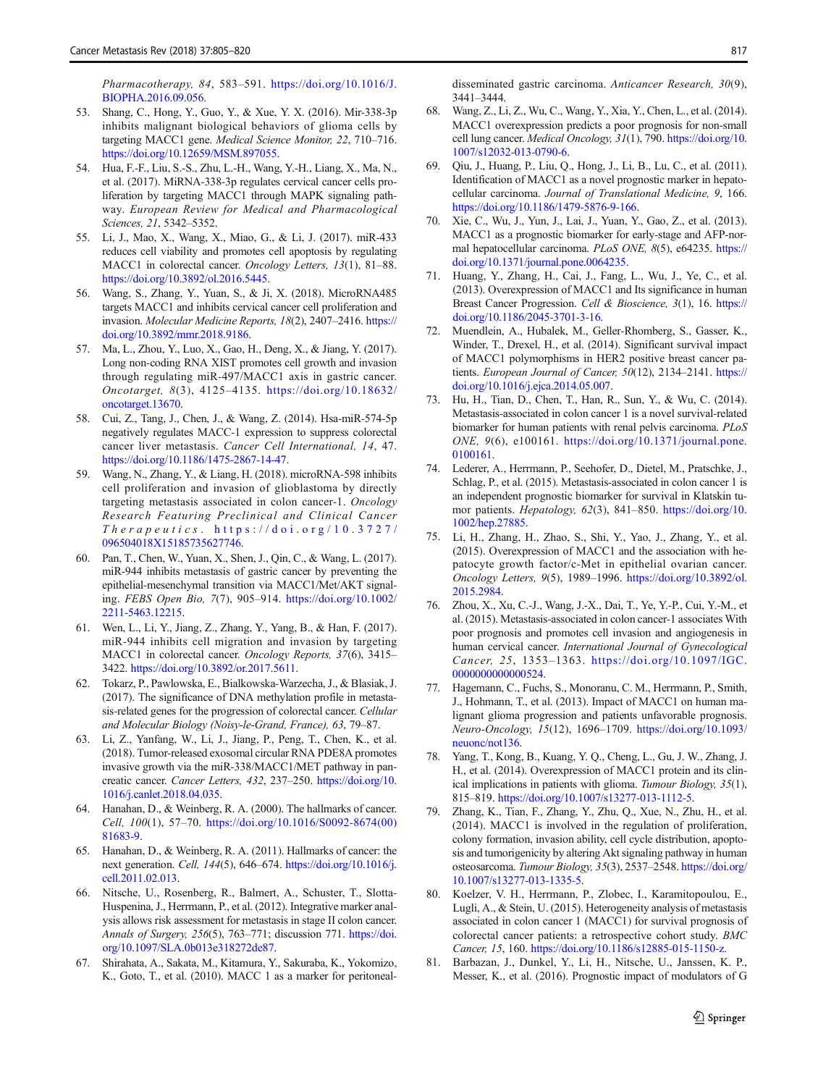<span id="page-12-0"></span>Pharmacotherapy, 84, 583–591. [https://doi.org/10.1016/J.](https://doi.org/10.1016/J.BIOPHA.2016.09.056) [BIOPHA.2016.09.056](https://doi.org/10.1016/J.BIOPHA.2016.09.056).

- 53. Shang, C., Hong, Y., Guo, Y., & Xue, Y. X. (2016). Mir-338-3p inhibits malignant biological behaviors of glioma cells by targeting MACC1 gene. Medical Science Monitor, 22, 710–716. [https://doi.org/10.12659/MSM.897055.](https://doi.org/10.12659/MSM.897055)
- 54. Hua, F.-F., Liu, S.-S., Zhu, L.-H., Wang, Y.-H., Liang, X., Ma, N., et al. (2017). MiRNA-338-3p regulates cervical cancer cells proliferation by targeting MACC1 through MAPK signaling pathway. European Review for Medical and Pharmacological Sciences, 21, 5342–5352.
- 55. Li, J., Mao, X., Wang, X., Miao, G., & Li, J. (2017). miR-433 reduces cell viability and promotes cell apoptosis by regulating MACC1 in colorectal cancer. Oncology Letters, 13(1), 81–88. [https://doi.org/10.3892/ol.2016.5445.](https://doi.org/10.3892/ol.2016.5445)
- 56. Wang, S., Zhang, Y., Yuan, S., & Ji, X. (2018). MicroRNA485 targets MACC1 and inhibits cervical cancer cell proliferation and invasion. Molecular Medicine Reports, 18(2), 2407–2416. [https://](https://doi.org/10.3892/mmr.2018.9186) [doi.org/10.3892/mmr.2018.9186](https://doi.org/10.3892/mmr.2018.9186).
- 57. Ma, L., Zhou, Y., Luo, X., Gao, H., Deng, X., & Jiang, Y. (2017). Long non-coding RNA XIST promotes cell growth and invasion through regulating miR-497/MACC1 axis in gastric cancer. Oncotarget, 8(3), 4125–4135. [https://doi.org/10.18632/](https://doi.org/10.18632/oncotarget.13670) [oncotarget.13670](https://doi.org/10.18632/oncotarget.13670).
- 58. Cui, Z., Tang, J., Chen, J., & Wang, Z. (2014). Hsa-miR-574-5p negatively regulates MACC-1 expression to suppress colorectal cancer liver metastasis. Cancer Cell International, 14, 47. [https://doi.org/10.1186/1475-2867-14-47.](https://doi.org/10.1186/1475-2867-14-47)
- 59. Wang, N., Zhang, Y., & Liang, H. (2018). microRNA-598 inhibits cell proliferation and invasion of glioblastoma by directly targeting metastasis associated in colon cancer-1. Oncology Research Featuring Preclinical and Clinical Cancer Therapeutics . [https://doi.org/10.3727/](https://doi.org/10.3727/096504018X15185735627746) [096504018X15185735627746](https://doi.org/10.3727/096504018X15185735627746).
- 60. Pan, T., Chen, W., Yuan, X., Shen, J., Qin, C., & Wang, L. (2017). miR-944 inhibits metastasis of gastric cancer by preventing the epithelial-mesenchymal transition via MACC1/Met/AKT signaling. FEBS Open Bio, 7(7), 905–914. [https://doi.org/10.1002/](https://doi.org/10.1002/2211-5463.12215) [2211-5463.12215](https://doi.org/10.1002/2211-5463.12215).
- 61. Wen, L., Li, Y., Jiang, Z., Zhang, Y., Yang, B., & Han, F. (2017). miR-944 inhibits cell migration and invasion by targeting MACC1 in colorectal cancer. Oncology Reports, 37(6), 3415– 3422. <https://doi.org/10.3892/or.2017.5611>.
- 62. Tokarz, P., Pawlowska, E., Bialkowska-Warzecha, J., & Blasiak, J. (2017). The significance of DNA methylation profile in metastasis-related genes for the progression of colorectal cancer. Cellular and Molecular Biology (Noisy-le-Grand, France), 63, 79–87.
- 63. Li, Z., Yanfang, W., Li, J., Jiang, P., Peng, T., Chen, K., et al. (2018). Tumor-released exosomal circular RNA PDE8A promotes invasive growth via the miR-338/MACC1/MET pathway in pancreatic cancer. Cancer Letters, 432, 237–250. [https://doi.org/10.](https://doi.org/10.1016/j.canlet.2018.04.035) [1016/j.canlet.2018.04.035.](https://doi.org/10.1016/j.canlet.2018.04.035)
- 64. Hanahan, D., & Weinberg, R. A. (2000). The hallmarks of cancer. Cell, 100(1), 57–70. [https://doi.org/10.1016/S0092-8674\(00\)](https://doi.org/10.1016/S0092-8674(00)81683-9) [81683-9.](https://doi.org/10.1016/S0092-8674(00)81683-9)
- 65. Hanahan, D., & Weinberg, R. A. (2011). Hallmarks of cancer: the next generation. Cell, 144(5), 646–674. [https://doi.org/10.1016/j.](https://doi.org/10.1016/j.cell.2011.02.013) [cell.2011.02.013.](https://doi.org/10.1016/j.cell.2011.02.013)
- 66. Nitsche, U., Rosenberg, R., Balmert, A., Schuster, T., Slotta-Huspenina, J., Herrmann, P., et al. (2012). Integrative marker analysis allows risk assessment for metastasis in stage II colon cancer. Annals of Surgery, 256(5), 763–771; discussion 771. [https://doi.](https://doi.org/10.1097/SLA.0b013e318272de87) [org/10.1097/SLA.0b013e318272de87.](https://doi.org/10.1097/SLA.0b013e318272de87)
- 67. Shirahata, A., Sakata, M., Kitamura, Y., Sakuraba, K., Yokomizo, K., Goto, T., et al. (2010). MACC 1 as a marker for peritoneal-

disseminated gastric carcinoma. Anticancer Research, 30(9), 3441–3444.

- 68. Wang, Z., Li, Z., Wu, C., Wang, Y., Xia, Y., Chen, L., et al. (2014). MACC1 overexpression predicts a poor prognosis for non-small cell lung cancer. Medical Oncology, 31(1), 790. [https://doi.org/10.](https://doi.org/10.1007/s12032-013-0790-6) [1007/s12032-013-0790-6](https://doi.org/10.1007/s12032-013-0790-6).
- 69. Qiu, J., Huang, P., Liu, Q., Hong, J., Li, B., Lu, C., et al. (2011). Identification of MACC1 as a novel prognostic marker in hepatocellular carcinoma. Journal of Translational Medicine, 9, 166. [https://doi.org/10.1186/1479-5876-9-166.](https://doi.org/10.1186/1479-5876-9-166)
- 70. Xie, C., Wu, J., Yun, J., Lai, J., Yuan, Y., Gao, Z., et al. (2013). MACC1 as a prognostic biomarker for early-stage and AFP-normal hepatocellular carcinoma. PLoS ONE, 8(5), e64235. [https://](https://doi.org/10.1371/journal.pone.0064235) [doi.org/10.1371/journal.pone.0064235.](https://doi.org/10.1371/journal.pone.0064235)
- 71. Huang, Y., Zhang, H., Cai, J., Fang, L., Wu, J., Ye, C., et al. (2013). Overexpression of MACC1 and Its significance in human Breast Cancer Progression. Cell & Bioscience, 3(1), 16. [https://](https://doi.org/10.1186/2045-3701-3-16) [doi.org/10.1186/2045-3701-3-16](https://doi.org/10.1186/2045-3701-3-16).
- 72. Muendlein, A., Hubalek, M., Geller-Rhomberg, S., Gasser, K., Winder, T., Drexel, H., et al. (2014). Significant survival impact of MACC1 polymorphisms in HER2 positive breast cancer patients. European Journal of Cancer, 50(12), 2134-2141. [https://](https://doi.org/10.1016/j.ejca.2014.05.007) [doi.org/10.1016/j.ejca.2014.05.007.](https://doi.org/10.1016/j.ejca.2014.05.007)
- 73. Hu, H., Tian, D., Chen, T., Han, R., Sun, Y., & Wu, C. (2014). Metastasis-associated in colon cancer 1 is a novel survival-related biomarker for human patients with renal pelvis carcinoma. PLoS ONE, 9(6), e100161. [https://doi.org/10.1371/journal.pone.](https://doi.org/10.1371/journal.pone.0100161) [0100161](https://doi.org/10.1371/journal.pone.0100161).
- 74. Lederer, A., Herrmann, P., Seehofer, D., Dietel, M., Pratschke, J., Schlag, P., et al. (2015). Metastasis-associated in colon cancer 1 is an independent prognostic biomarker for survival in Klatskin tumor patients. Hepatology, 62(3), 841–850. [https://doi.org/10.](https://doi.org/10.1002/hep.27885) [1002/hep.27885.](https://doi.org/10.1002/hep.27885)
- 75. Li, H., Zhang, H., Zhao, S., Shi, Y., Yao, J., Zhang, Y., et al. (2015). Overexpression of MACC1 and the association with hepatocyte growth factor/c-Met in epithelial ovarian cancer. Oncology Letters, 9(5), 1989–1996. [https://doi.org/10.3892/ol.](https://doi.org/10.3892/ol.2015.2984) [2015.2984.](https://doi.org/10.3892/ol.2015.2984)
- 76. Zhou, X., Xu, C.-J., Wang, J.-X., Dai, T., Ye, Y.-P., Cui, Y.-M., et al. (2015). Metastasis-associated in colon cancer-1 associates With poor prognosis and promotes cell invasion and angiogenesis in human cervical cancer. International Journal of Gynecological Cancer, 25, 1353–1363. [https://doi.org/10.1097/IGC.](https://doi.org/10.1097/IGC.0000000000000524) [0000000000000524.](https://doi.org/10.1097/IGC.0000000000000524)
- 77. Hagemann, C., Fuchs, S., Monoranu, C. M., Herrmann, P., Smith, J., Hohmann, T., et al. (2013). Impact of MACC1 on human malignant glioma progression and patients unfavorable prognosis. Neuro-Oncology, 15(12), 1696–1709. [https://doi.org/10.1093/](https://doi.org/10.1093/neuonc/not136) [neuonc/not136](https://doi.org/10.1093/neuonc/not136).
- 78. Yang, T., Kong, B., Kuang, Y. Q., Cheng, L., Gu, J. W., Zhang, J. H., et al. (2014). Overexpression of MACC1 protein and its clinical implications in patients with glioma. Tumour Biology, 35(1), 815–819. [https://doi.org/10.1007/s13277-013-1112-5.](https://doi.org/10.1007/s13277-013-1112-5)
- 79. Zhang, K., Tian, F., Zhang, Y., Zhu, Q., Xue, N., Zhu, H., et al. (2014). MACC1 is involved in the regulation of proliferation, colony formation, invasion ability, cell cycle distribution, apoptosis and tumorigenicity by altering Akt signaling pathway in human osteosarcoma. Tumour Biology, 35(3), 2537–2548. [https://doi.org/](https://doi.org/10.1007/s13277-013-1335-5) [10.1007/s13277-013-1335-5](https://doi.org/10.1007/s13277-013-1335-5).
- 80. Koelzer, V. H., Herrmann, P., Zlobec, I., Karamitopoulou, E., Lugli, A., & Stein, U. (2015). Heterogeneity analysis of metastasis associated in colon cancer 1 (MACC1) for survival prognosis of colorectal cancer patients: a retrospective cohort study. BMC Cancer, 15, 160. <https://doi.org/10.1186/s12885-015-1150-z>.
- 81. Barbazan, J., Dunkel, Y., Li, H., Nitsche, U., Janssen, K. P., Messer, K., et al. (2016). Prognostic impact of modulators of G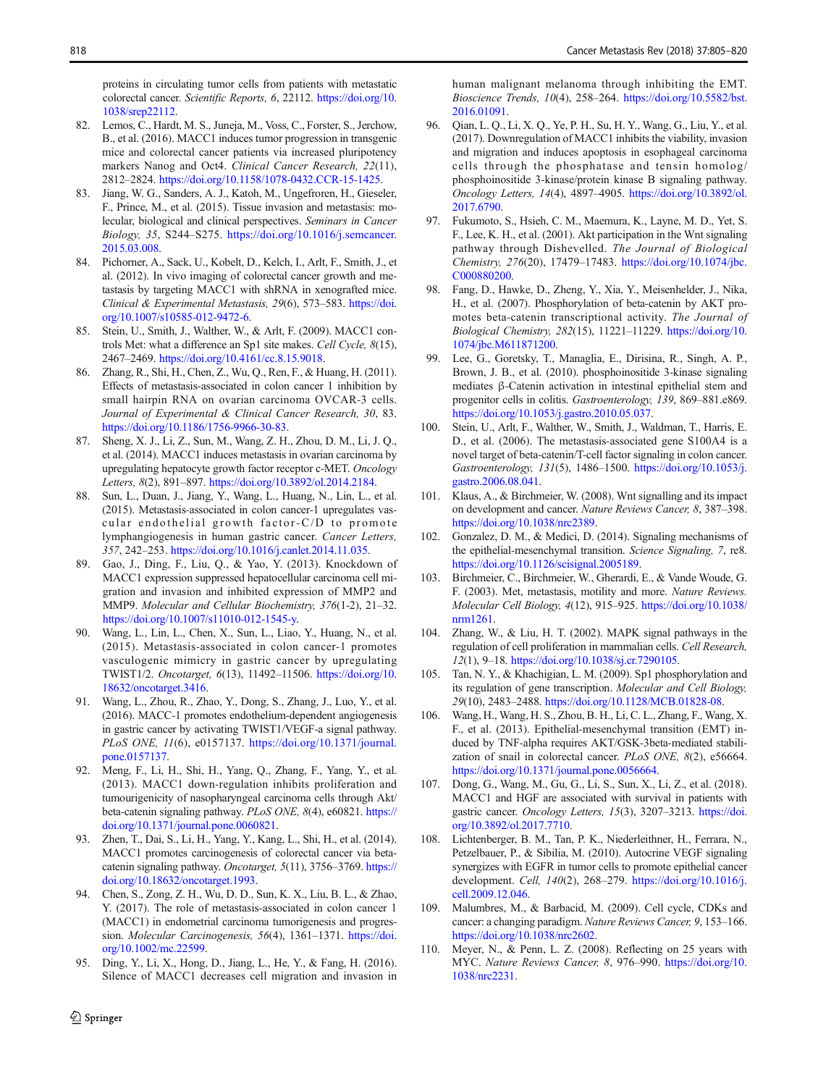<span id="page-13-0"></span>proteins in circulating tumor cells from patients with metastatic colorectal cancer. Scientific Reports, 6, 22112. [https://doi.org/10.](https://doi.org/10.1038/srep22112) [1038/srep22112.](https://doi.org/10.1038/srep22112)

- 82. Lemos, C., Hardt, M. S., Juneja, M., Voss, C., Forster, S., Jerchow, B., et al. (2016). MACC1 induces tumor progression in transgenic mice and colorectal cancer patients via increased pluripotency markers Nanog and Oct4. Clinical Cancer Research, 22(11), 2812–2824. [https://doi.org/10.1158/1078-0432.CCR-15-1425.](https://doi.org/10.1158/1078-0432.CCR-15-1425)
- 83. Jiang, W. G., Sanders, A. J., Katoh, M., Ungefroren, H., Gieseler, F., Prince, M., et al. (2015). Tissue invasion and metastasis: molecular, biological and clinical perspectives. Seminars in Cancer Biology, 35, S244–S275. [https://doi.org/10.1016/j.semcancer.](https://doi.org/10.1016/j.semcancer.2015.03.008) [2015.03.008.](https://doi.org/10.1016/j.semcancer.2015.03.008)
- 84. Pichorner, A., Sack, U., Kobelt, D., Kelch, I., Arlt, F., Smith, J., et al. (2012). In vivo imaging of colorectal cancer growth and metastasis by targeting MACC1 with shRNA in xenografted mice. Clinical & Experimental Metastasis, 29(6), 573–583. [https://doi.](https://doi.org/10.1007/s10585-012-9472-6) [org/10.1007/s10585-012-9472-6](https://doi.org/10.1007/s10585-012-9472-6).
- 85. Stein, U., Smith, J., Walther, W., & Arlt, F. (2009). MACC1 controls Met: what a difference an Sp1 site makes. Cell Cycle, 8(15), 2467–2469. <https://doi.org/10.4161/cc.8.15.9018>.
- 86. Zhang, R., Shi, H., Chen, Z., Wu, Q., Ren, F., & Huang, H. (2011). Effects of metastasis-associated in colon cancer 1 inhibition by small hairpin RNA on ovarian carcinoma OVCAR-3 cells. Journal of Experimental & Clinical Cancer Research, 30, 83. [https://doi.org/10.1186/1756-9966-30-83.](https://doi.org/10.1186/1756-9966-30-83)
- 87. Sheng, X. J., Li, Z., Sun, M., Wang, Z. H., Zhou, D. M., Li, J. Q., et al. (2014). MACC1 induces metastasis in ovarian carcinoma by upregulating hepatocyte growth factor receptor c-MET. Oncology Letters, 8(2), 891–897. [https://doi.org/10.3892/ol.2014.2184.](https://doi.org/10.3892/ol.2014.2184)
- 88. Sun, L., Duan, J., Jiang, Y., Wang, L., Huang, N., Lin, L., et al. (2015). Metastasis-associated in colon cancer-1 upregulates vascular endothelial growth factor-C/D to promote lymphangiogenesis in human gastric cancer. Cancer Letters, 357, 242–253. [https://doi.org/10.1016/j.canlet.2014.11.035.](https://doi.org/10.1016/j.canlet.2014.11.035)
- 89. Gao, J., Ding, F., Liu, Q., & Yao, Y. (2013). Knockdown of MACC1 expression suppressed hepatocellular carcinoma cell migration and invasion and inhibited expression of MMP2 and MMP9. Molecular and Cellular Biochemistry, 376(1-2), 21–32. [https://doi.org/10.1007/s11010-012-1545-y.](https://doi.org/10.1007/s11010-012-1545-y)
- 90. Wang, L., Lin, L., Chen, X., Sun, L., Liao, Y., Huang, N., et al. (2015). Metastasis-associated in colon cancer-1 promotes vasculogenic mimicry in gastric cancer by upregulating TWIST1/2. Oncotarget, 6(13), 11492–11506. [https://doi.org/10.](https://doi.org/10.18632/oncotarget.3416) [18632/oncotarget.3416](https://doi.org/10.18632/oncotarget.3416).
- 91. Wang, L., Zhou, R., Zhao, Y., Dong, S., Zhang, J., Luo, Y., et al. (2016). MACC-1 promotes endothelium-dependent angiogenesis in gastric cancer by activating TWIST1/VEGF-a signal pathway. PLoS ONE, 11(6), e0157137. [https://doi.org/10.1371/journal.](https://doi.org/10.1371/journal.pone.0157137) [pone.0157137](https://doi.org/10.1371/journal.pone.0157137).
- 92. Meng, F., Li, H., Shi, H., Yang, Q., Zhang, F., Yang, Y., et al. (2013). MACC1 down-regulation inhibits proliferation and tumourigenicity of nasopharyngeal carcinoma cells through Akt/ beta-catenin signaling pathway. PLoS ONE, 8(4), e60821. [https://](https://doi.org/10.1371/journal.pone.0060821) [doi.org/10.1371/journal.pone.0060821.](https://doi.org/10.1371/journal.pone.0060821)
- 93. Zhen, T., Dai, S., Li, H., Yang, Y., Kang, L., Shi, H., et al. (2014). MACC1 promotes carcinogenesis of colorectal cancer via betacatenin signaling pathway. Oncotarget, 5(11), 3756–3769. [https://](https://doi.org/10.18632/oncotarget.1993) [doi.org/10.18632/oncotarget.1993.](https://doi.org/10.18632/oncotarget.1993)
- 94. Chen, S., Zong, Z. H., Wu, D. D., Sun, K. X., Liu, B. L., & Zhao, Y. (2017). The role of metastasis-associated in colon cancer 1 (MACC1) in endometrial carcinoma tumorigenesis and progression. Molecular Carcinogenesis, 56(4), 1361-1371. [https://doi.](https://doi.org/10.1002/mc.22599) [org/10.1002/mc.22599](https://doi.org/10.1002/mc.22599).
- 95. Ding, Y., Li, X., Hong, D., Jiang, L., He, Y., & Fang, H. (2016). Silence of MACC1 decreases cell migration and invasion in

human malignant melanoma through inhibiting the EMT. Bioscience Trends, 10(4), 258–264. [https://doi.org/10.5582/bst.](https://doi.org/10.5582/bst.2016.01091) [2016.01091.](https://doi.org/10.5582/bst.2016.01091)

- 96. Qian, L. Q., Li, X. Q., Ye, P. H., Su, H. Y., Wang, G., Liu, Y., et al. (2017). Downregulation of MACC1 inhibits the viability, invasion and migration and induces apoptosis in esophageal carcinoma cells through the phosphatase and tensin homolog/ phosphoinositide 3-kinase/protein kinase B signaling pathway. Oncology Letters, 14(4), 4897–4905. [https://doi.org/10.3892/ol.](https://doi.org/10.3892/ol.2017.6790) [2017.6790.](https://doi.org/10.3892/ol.2017.6790)
- 97. Fukumoto, S., Hsieh, C. M., Maemura, K., Layne, M. D., Yet, S. F., Lee, K. H., et al. (2001). Akt participation in the Wnt signaling pathway through Dishevelled. The Journal of Biological Chemistry, 276(20), 17479–17483. [https://doi.org/10.1074/jbc.](https://doi.org/10.1074/jbc.C000880200) [C000880200](https://doi.org/10.1074/jbc.C000880200).
- 98. Fang, D., Hawke, D., Zheng, Y., Xia, Y., Meisenhelder, J., Nika, H., et al. (2007). Phosphorylation of beta-catenin by AKT promotes beta-catenin transcriptional activity. The Journal of Biological Chemistry, 282(15), 11221–11229. [https://doi.org/10.](https://doi.org/10.1074/jbc.M611871200) [1074/jbc.M611871200.](https://doi.org/10.1074/jbc.M611871200)
- 99. Lee, G., Goretsky, T., Managlia, E., Dirisina, R., Singh, A. P., Brown, J. B., et al. (2010). phosphoinositide 3-kinase signaling mediates β-Catenin activation in intestinal epithelial stem and progenitor cells in colitis. Gastroenterology, 139, 869–881.e869. [https://doi.org/10.1053/j.gastro.2010.05.037.](https://doi.org/10.1053/j.gastro.2010.05.037)
- 100. Stein, U., Arlt, F., Walther, W., Smith, J., Waldman, T., Harris, E. D., et al. (2006). The metastasis-associated gene S100A4 is a novel target of beta-catenin/T-cell factor signaling in colon cancer. Gastroenterology, 131(5), 1486–1500. [https://doi.org/10.1053/j.](https://doi.org/10.1053/j.gastro.2006.08.041) [gastro.2006.08.041](https://doi.org/10.1053/j.gastro.2006.08.041).
- 101. Klaus, A., & Birchmeier, W. (2008). Wnt signalling and its impact on development and cancer. Nature Reviews Cancer, 8, 387–398. <https://doi.org/10.1038/nrc2389>.
- 102. Gonzalez, D. M., & Medici, D. (2014). Signaling mechanisms of the epithelial-mesenchymal transition. Science Signaling, 7, re8. <https://doi.org/10.1126/scisignal.2005189>.
- 103. Birchmeier, C., Birchmeier, W., Gherardi, E., & Vande Woude, G. F. (2003). Met, metastasis, motility and more. Nature Reviews. Molecular Cell Biology, 4(12), 915–925. [https://doi.org/10.1038/](https://doi.org/10.1038/nrm1261) [nrm1261](https://doi.org/10.1038/nrm1261).
- 104. Zhang, W., & Liu, H. T. (2002). MAPK signal pathways in the regulation of cell proliferation in mammalian cells. Cell Research, 12(1), 9–18. <https://doi.org/10.1038/sj.cr.7290105>.
- 105. Tan, N. Y., & Khachigian, L. M. (2009). Sp1 phosphorylation and its regulation of gene transcription. Molecular and Cell Biology, 29(10), 2483–2488. [https://doi.org/10.1128/MCB.01828-08.](https://doi.org/10.1128/MCB.01828-08)
- 106. Wang, H., Wang, H. S., Zhou, B. H., Li, C. L., Zhang, F., Wang, X. F., et al. (2013). Epithelial-mesenchymal transition (EMT) induced by TNF-alpha requires AKT/GSK-3beta-mediated stabilization of snail in colorectal cancer. PLoS ONE, 8(2), e56664. <https://doi.org/10.1371/journal.pone.0056664>.
- 107. Dong, G., Wang, M., Gu, G., Li, S., Sun, X., Li, Z., et al. (2018). MACC1 and HGF are associated with survival in patients with gastric cancer. Oncology Letters, 15(3), 3207–3213. [https://doi.](https://doi.org/10.3892/ol.2017.7710) [org/10.3892/ol.2017.7710.](https://doi.org/10.3892/ol.2017.7710)
- 108. Lichtenberger, B. M., Tan, P. K., Niederleithner, H., Ferrara, N., Petzelbauer, P., & Sibilia, M. (2010). Autocrine VEGF signaling synergizes with EGFR in tumor cells to promote epithelial cancer development. Cell, 140(2), 268–279. [https://doi.org/10.1016/j.](https://doi.org/10.1016/j.cell.2009.12.046) [cell.2009.12.046](https://doi.org/10.1016/j.cell.2009.12.046).
- 109. Malumbres, M., & Barbacid, M. (2009). Cell cycle, CDKs and cancer: a changing paradigm. Nature Reviews Cancer, 9, 153–166. <https://doi.org/10.1038/nrc2602>.
- 110. Meyer, N., & Penn, L. Z. (2008). Reflecting on 25 years with MYC. Nature Reviews Cancer, 8, 976–990. [https://doi.org/10.](https://doi.org/10.1038/nrc2231) [1038/nrc2231.](https://doi.org/10.1038/nrc2231)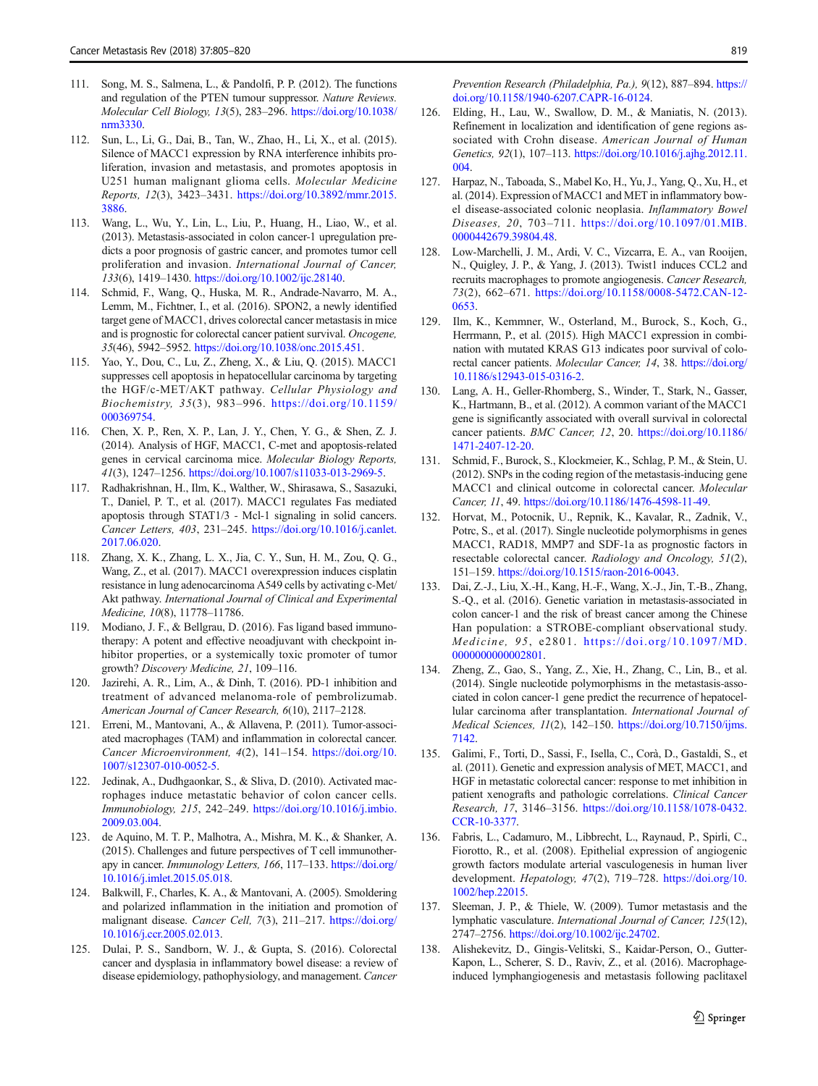- <span id="page-14-0"></span>111. Song, M. S., Salmena, L., & Pandolfi, P. P. (2012). The functions and regulation of the PTEN tumour suppressor. Nature Reviews. Molecular Cell Biology, 13(5), 283–296. [https://doi.org/10.1038/](https://doi.org/10.1038/nrm3330) [nrm3330](https://doi.org/10.1038/nrm3330).
- 112. Sun, L., Li, G., Dai, B., Tan, W., Zhao, H., Li, X., et al. (2015). Silence of MACC1 expression by RNA interference inhibits proliferation, invasion and metastasis, and promotes apoptosis in U251 human malignant glioma cells. Molecular Medicine Reports, 12(3), 3423–3431. [https://doi.org/10.3892/mmr.2015.](https://doi.org/10.3892/mmr.2015.3886) [3886](https://doi.org/10.3892/mmr.2015.3886).
- 113. Wang, L., Wu, Y., Lin, L., Liu, P., Huang, H., Liao, W., et al. (2013). Metastasis-associated in colon cancer-1 upregulation predicts a poor prognosis of gastric cancer, and promotes tumor cell proliferation and invasion. International Journal of Cancer, 133(6), 1419–1430. <https://doi.org/10.1002/ijc.28140>.
- 114. Schmid, F., Wang, Q., Huska, M. R., Andrade-Navarro, M. A., Lemm, M., Fichtner, I., et al. (2016). SPON2, a newly identified target gene of MACC1, drives colorectal cancer metastasis in mice and is prognostic for colorectal cancer patient survival. Oncogene, 35(46), 5942–5952. <https://doi.org/10.1038/onc.2015.451>.
- 115. Yao, Y., Dou, C., Lu, Z., Zheng, X., & Liu, Q. (2015). MACC1 suppresses cell apoptosis in hepatocellular carcinoma by targeting the HGF/c-MET/AKT pathway. Cellular Physiology and Biochemistry, 35(3), 983–996. [https://doi.org/10.1159/](https://doi.org/10.1159/000369754) [000369754](https://doi.org/10.1159/000369754).
- 116. Chen, X. P., Ren, X. P., Lan, J. Y., Chen, Y. G., & Shen, Z. J. (2014). Analysis of HGF, MACC1, C-met and apoptosis-related genes in cervical carcinoma mice. Molecular Biology Reports, 41(3), 1247–1256. [https://doi.org/10.1007/s11033-013-2969-5.](https://doi.org/10.1007/s11033-013-2969-5)
- 117. Radhakrishnan, H., Ilm, K., Walther, W., Shirasawa, S., Sasazuki, T., Daniel, P. T., et al. (2017). MACC1 regulates Fas mediated apoptosis through STAT1/3 - Mcl-1 signaling in solid cancers. Cancer Letters, 403, 231–245. [https://doi.org/10.1016/j.canlet.](https://doi.org/10.1016/j.canlet.2017.06.020) [2017.06.020](https://doi.org/10.1016/j.canlet.2017.06.020).
- 118. Zhang, X. K., Zhang, L. X., Jia, C. Y., Sun, H. M., Zou, Q. G., Wang, Z., et al. (2017). MACC1 overexpression induces cisplatin resistance in lung adenocarcinoma A549 cells by activating c-Met/ Akt pathway. International Journal of Clinical and Experimental Medicine, 10(8), 11778–11786.
- 119. Modiano, J. F., & Bellgrau, D. (2016). Fas ligand based immunotherapy: A potent and effective neoadjuvant with checkpoint inhibitor properties, or a systemically toxic promoter of tumor growth? Discovery Medicine, 21, 109–116.
- 120. Jazirehi, A. R., Lim, A., & Dinh, T. (2016). PD-1 inhibition and treatment of advanced melanoma-role of pembrolizumab. American Journal of Cancer Research, 6(10), 2117–2128.
- 121. Erreni, M., Mantovani, A., & Allavena, P. (2011). Tumor-associated macrophages (TAM) and inflammation in colorectal cancer. Cancer Microenvironment, 4(2), 141–154. [https://doi.org/10.](https://doi.org/10.1007/s12307-010-0052-5) [1007/s12307-010-0052-5.](https://doi.org/10.1007/s12307-010-0052-5)
- 122. Jedinak, A., Dudhgaonkar, S., & Sliva, D. (2010). Activated macrophages induce metastatic behavior of colon cancer cells. Immunobiology, 215, 242–249. [https://doi.org/10.1016/j.imbio.](https://doi.org/10.1016/j.imbio.2009.03.004) [2009.03.004](https://doi.org/10.1016/j.imbio.2009.03.004).
- 123. de Aquino, M. T. P., Malhotra, A., Mishra, M. K., & Shanker, A. (2015). Challenges and future perspectives of T cell immunotherapy in cancer. Immunology Letters, 166, 117–133. [https://doi.org/](https://doi.org/10.1016/j.imlet.2015.05.018) [10.1016/j.imlet.2015.05.018](https://doi.org/10.1016/j.imlet.2015.05.018).
- 124. Balkwill, F., Charles, K. A., & Mantovani, A. (2005). Smoldering and polarized inflammation in the initiation and promotion of malignant disease. Cancer Cell, 7(3), 211–217. [https://doi.org/](https://doi.org/10.1016/j.ccr.2005.02.013) [10.1016/j.ccr.2005.02.013](https://doi.org/10.1016/j.ccr.2005.02.013).
- 125. Dulai, P. S., Sandborn, W. J., & Gupta, S. (2016). Colorectal cancer and dysplasia in inflammatory bowel disease: a review of disease epidemiology, pathophysiology, and management. Cancer

Prevention Research (Philadelphia, Pa.), 9(12), 887-894. [https://](https://doi.org/10.1158/1940-6207.CAPR-16-0124) [doi.org/10.1158/1940-6207.CAPR-16-0124](https://doi.org/10.1158/1940-6207.CAPR-16-0124).

- 126. Elding, H., Lau, W., Swallow, D. M., & Maniatis, N. (2013). Refinement in localization and identification of gene regions associated with Crohn disease. American Journal of Human Genetics, 92(1), 107–113. [https://doi.org/10.1016/j.ajhg.2012.11.](https://doi.org/10.1016/j.ajhg.2012.11.004) [004](https://doi.org/10.1016/j.ajhg.2012.11.004).
- 127. Harpaz, N., Taboada, S., Mabel Ko, H., Yu, J., Yang, Q., Xu, H., et al. (2014). Expression of MACC1 and MET in inflammatory bowel disease-associated colonic neoplasia. Inflammatory Bowel Diseases, 20, 703–711. [https://doi.org/10.1097/01.MIB.](https://doi.org/10.1097/01.MIB.0000442679.39804.48) [0000442679.39804.48.](https://doi.org/10.1097/01.MIB.0000442679.39804.48)
- 128. Low-Marchelli, J. M., Ardi, V. C., Vizcarra, E. A., van Rooijen, N., Quigley, J. P., & Yang, J. (2013). Twist1 induces CCL2 and recruits macrophages to promote angiogenesis. Cancer Research, 73(2), 662–671. [https://doi.org/10.1158/0008-5472.CAN-12-](https://doi.org/10.1158/0008-5472.CAN-12-0653) [0653.](https://doi.org/10.1158/0008-5472.CAN-12-0653)
- 129. Ilm, K., Kemmner, W., Osterland, M., Burock, S., Koch, G., Herrmann, P., et al. (2015). High MACC1 expression in combination with mutated KRAS G13 indicates poor survival of colorectal cancer patients. Molecular Cancer, 14, 38. [https://doi.org/](https://doi.org/10.1186/s12943-015-0316-2) [10.1186/s12943-015-0316-2](https://doi.org/10.1186/s12943-015-0316-2).
- 130. Lang, A. H., Geller-Rhomberg, S., Winder, T., Stark, N., Gasser, K., Hartmann, B., et al. (2012). A common variant of the MACC1 gene is significantly associated with overall survival in colorectal cancer patients. BMC Cancer, 12, 20. [https://doi.org/10.1186/](https://doi.org/10.1186/1471-2407-12-20) [1471-2407-12-20.](https://doi.org/10.1186/1471-2407-12-20)
- 131. Schmid, F., Burock, S., Klockmeier, K., Schlag, P. M., & Stein, U. (2012). SNPs in the coding region of the metastasis-inducing gene MACC1 and clinical outcome in colorectal cancer. Molecular Cancer, 11, 49. <https://doi.org/10.1186/1476-4598-11-49>.
- 132. Horvat, M., Potocnik, U., Repnik, K., Kavalar, R., Zadnik, V., Potrc, S., et al. (2017). Single nucleotide polymorphisms in genes MACC1, RAD18, MMP7 and SDF-1a as prognostic factors in resectable colorectal cancer. Radiology and Oncology, 51(2), 151–159. <https://doi.org/10.1515/raon-2016-0043>.
- 133. Dai, Z.-J., Liu, X.-H., Kang, H.-F., Wang, X.-J., Jin, T.-B., Zhang, S.-Q., et al. (2016). Genetic variation in metastasis-associated in colon cancer-1 and the risk of breast cancer among the Chinese Han population: a STROBE-compliant observational study. Medicine, 95, e2801. [https://doi.org/10.1097/MD.](https://doi.org/10.1097/MD.0000000000002801) [0000000000002801](https://doi.org/10.1097/MD.0000000000002801).
- 134. Zheng, Z., Gao, S., Yang, Z., Xie, H., Zhang, C., Lin, B., et al. (2014). Single nucleotide polymorphisms in the metastasis-associated in colon cancer-1 gene predict the recurrence of hepatocellular carcinoma after transplantation. International Journal of Medical Sciences, 11(2), 142–150. [https://doi.org/10.7150/ijms.](https://doi.org/10.7150/ijms.7142) [7142.](https://doi.org/10.7150/ijms.7142)
- 135. Galimi, F., Torti, D., Sassi, F., Isella, C., Corà, D., Gastaldi, S., et al. (2011). Genetic and expression analysis of MET, MACC1, and HGF in metastatic colorectal cancer: response to met inhibition in patient xenografts and pathologic correlations. Clinical Cancer Research, 17, 3146–3156. [https://doi.org/10.1158/1078-0432.](https://doi.org/10.1158/1078-0432.CCR-10-3377) [CCR-10-3377](https://doi.org/10.1158/1078-0432.CCR-10-3377).
- 136. Fabris, L., Cadamuro, M., Libbrecht, L., Raynaud, P., Spirli, C., Fiorotto, R., et al. (2008). Epithelial expression of angiogenic growth factors modulate arterial vasculogenesis in human liver development. Hepatology, 47(2), 719-728. [https://doi.org/10.](https://doi.org/10.1002/hep.22015) [1002/hep.22015.](https://doi.org/10.1002/hep.22015)
- 137. Sleeman, J. P., & Thiele, W. (2009). Tumor metastasis and the lymphatic vasculature. International Journal of Cancer, 125(12), 2747–2756. [https://doi.org/10.1002/ijc.24702.](https://doi.org/10.1002/ijc.24702)
- 138. Alishekevitz, D., Gingis-Velitski, S., Kaidar-Person, O., Gutter-Kapon, L., Scherer, S. D., Raviv, Z., et al. (2016). Macrophageinduced lymphangiogenesis and metastasis following paclitaxel